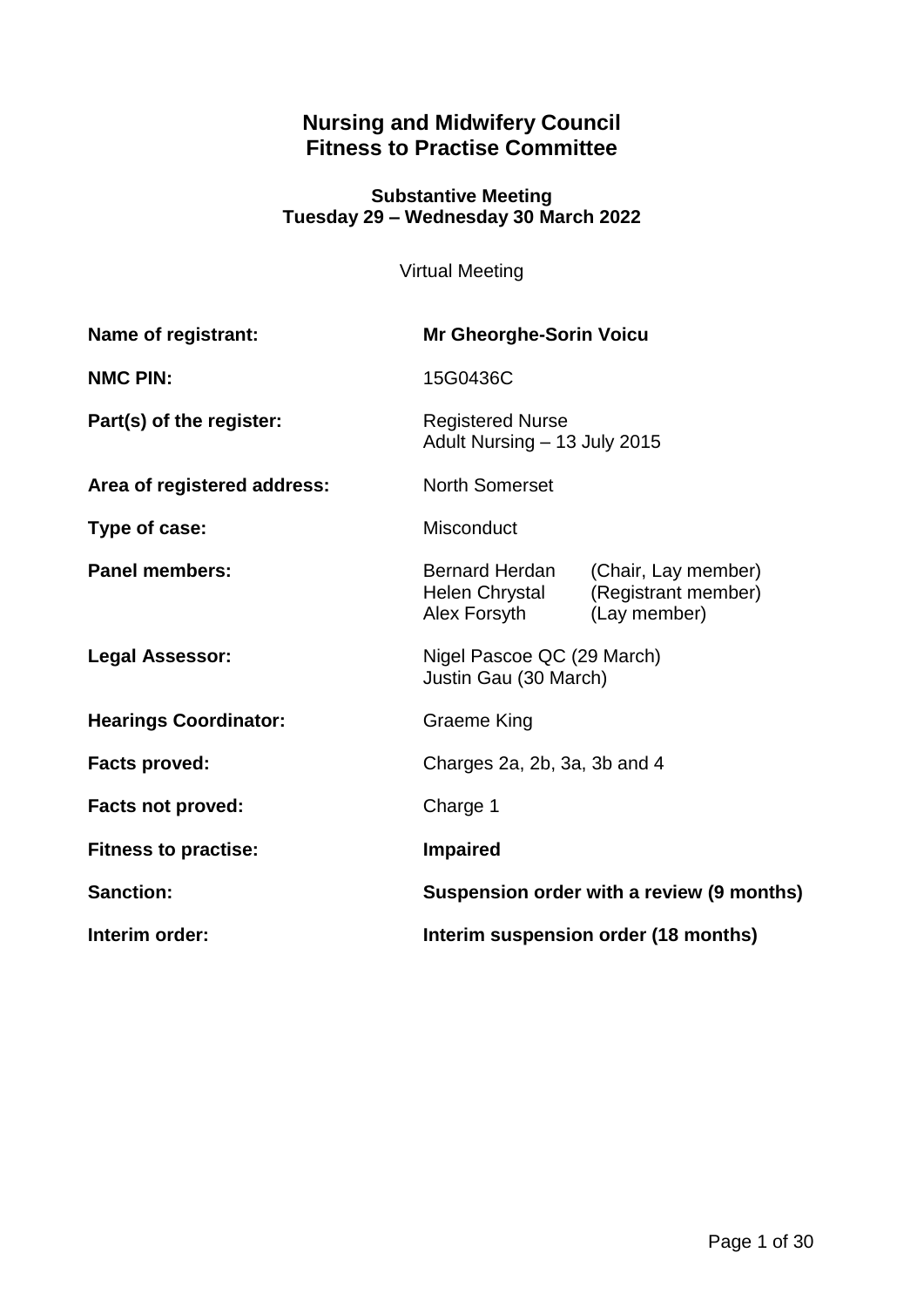# **Nursing and Midwifery Council Fitness to Practise Committee**

#### **Substantive Meeting Tuesday 29 – Wednesday 30 March 2022**

Virtual Meeting

| Name of registrant:          | <b>Mr Gheorghe-Sorin Voicu</b>                          |                                                            |
|------------------------------|---------------------------------------------------------|------------------------------------------------------------|
| <b>NMC PIN:</b>              | 15G0436C                                                |                                                            |
| Part(s) of the register:     | <b>Registered Nurse</b><br>Adult Nursing - 13 July 2015 |                                                            |
| Area of registered address:  | <b>North Somerset</b>                                   |                                                            |
| Type of case:                | Misconduct                                              |                                                            |
| <b>Panel members:</b>        | Bernard Herdan<br>Helen Chrystal<br>Alex Forsyth        | (Chair, Lay member)<br>(Registrant member)<br>(Lay member) |
| <b>Legal Assessor:</b>       | Nigel Pascoe QC (29 March)<br>Justin Gau (30 March)     |                                                            |
| <b>Hearings Coordinator:</b> | Graeme King                                             |                                                            |
| <b>Facts proved:</b>         | Charges 2a, 2b, 3a, 3b and 4                            |                                                            |
| <b>Facts not proved:</b>     | Charge 1                                                |                                                            |
| <b>Fitness to practise:</b>  | <b>Impaired</b>                                         |                                                            |
| <b>Sanction:</b>             | Suspension order with a review (9 months)               |                                                            |
| Interim order:               | Interim suspension order (18 months)                    |                                                            |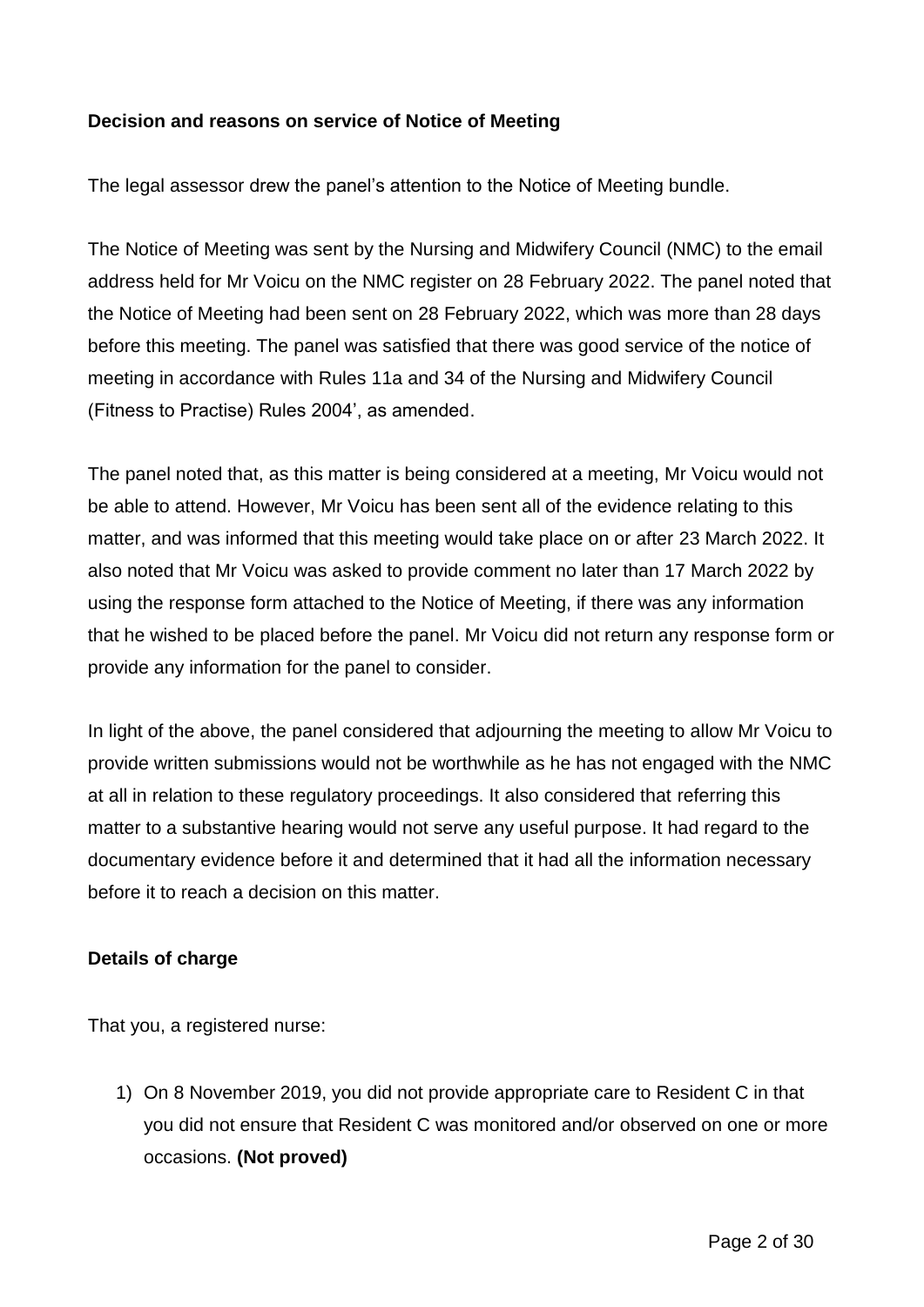#### **Decision and reasons on service of Notice of Meeting**

The legal assessor drew the panel's attention to the Notice of Meeting bundle.

The Notice of Meeting was sent by the Nursing and Midwifery Council (NMC) to the email address held for Mr Voicu on the NMC register on 28 February 2022. The panel noted that the Notice of Meeting had been sent on 28 February 2022, which was more than 28 days before this meeting. The panel was satisfied that there was good service of the notice of meeting in accordance with Rules 11a and 34 of the Nursing and Midwifery Council (Fitness to Practise) Rules 2004', as amended.

The panel noted that, as this matter is being considered at a meeting, Mr Voicu would not be able to attend. However, Mr Voicu has been sent all of the evidence relating to this matter, and was informed that this meeting would take place on or after 23 March 2022. It also noted that Mr Voicu was asked to provide comment no later than 17 March 2022 by using the response form attached to the Notice of Meeting, if there was any information that he wished to be placed before the panel. Mr Voicu did not return any response form or provide any information for the panel to consider.

In light of the above, the panel considered that adjourning the meeting to allow Mr Voicu to provide written submissions would not be worthwhile as he has not engaged with the NMC at all in relation to these regulatory proceedings. It also considered that referring this matter to a substantive hearing would not serve any useful purpose. It had regard to the documentary evidence before it and determined that it had all the information necessary before it to reach a decision on this matter.

#### **Details of charge**

That you, a registered nurse:

1) On 8 November 2019, you did not provide appropriate care to Resident C in that you did not ensure that Resident C was monitored and/or observed on one or more occasions. **(Not proved)**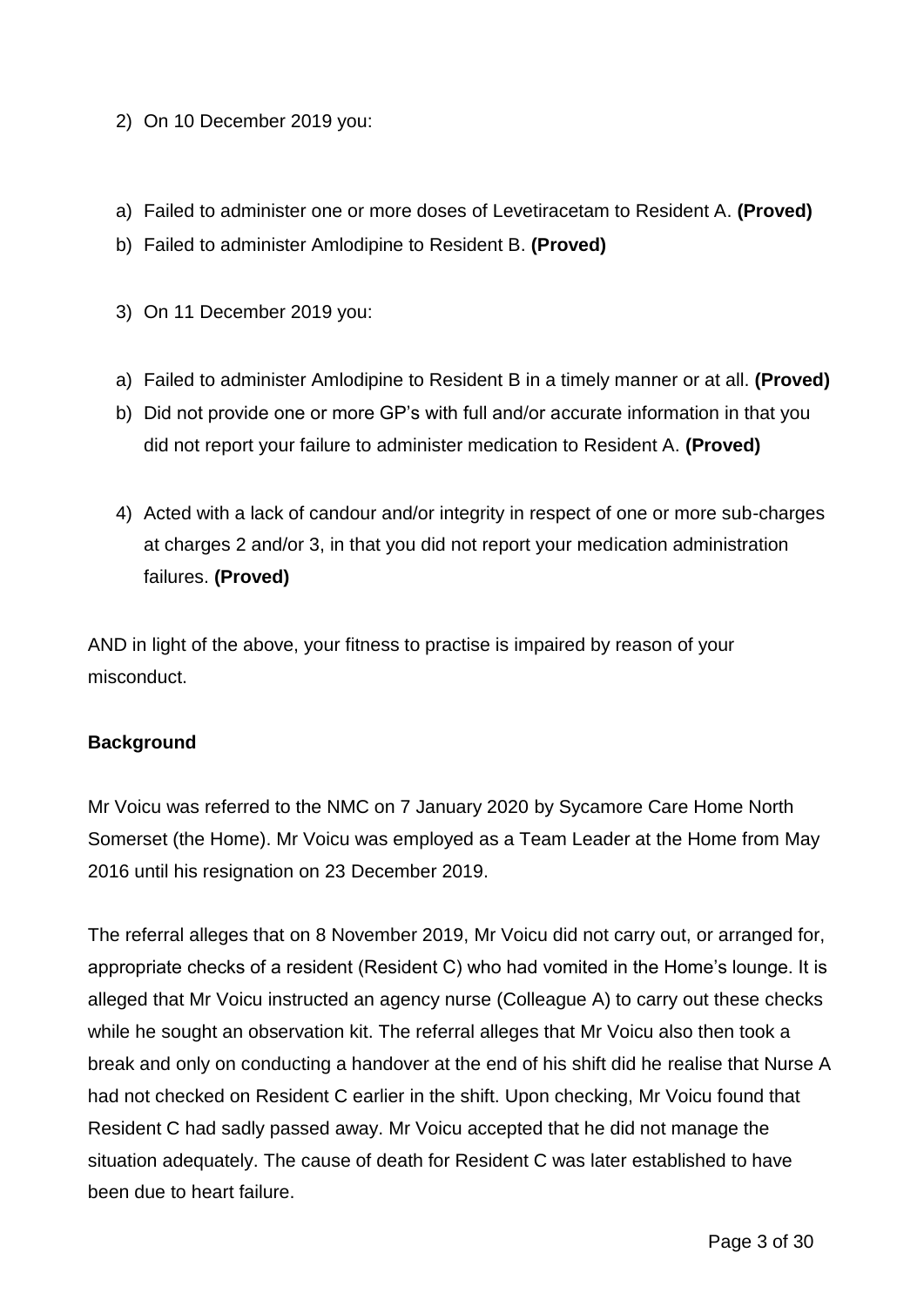- 2) On 10 December 2019 you:
- a) Failed to administer one or more doses of Levetiracetam to Resident A. **(Proved)**
- b) Failed to administer Amlodipine to Resident B. **(Proved)**
- 3) On 11 December 2019 you:
- a) Failed to administer Amlodipine to Resident B in a timely manner or at all. **(Proved)**
- b) Did not provide one or more GP's with full and/or accurate information in that you did not report your failure to administer medication to Resident A. **(Proved)**
- 4) Acted with a lack of candour and/or integrity in respect of one or more sub-charges at charges 2 and/or 3, in that you did not report your medication administration failures. **(Proved)**

AND in light of the above, your fitness to practise is impaired by reason of your misconduct.

## **Background**

Mr Voicu was referred to the NMC on 7 January 2020 by Sycamore Care Home North Somerset (the Home). Mr Voicu was employed as a Team Leader at the Home from May 2016 until his resignation on 23 December 2019.

The referral alleges that on 8 November 2019, Mr Voicu did not carry out, or arranged for, appropriate checks of a resident (Resident C) who had vomited in the Home's lounge. It is alleged that Mr Voicu instructed an agency nurse (Colleague A) to carry out these checks while he sought an observation kit. The referral alleges that Mr Voicu also then took a break and only on conducting a handover at the end of his shift did he realise that Nurse A had not checked on Resident C earlier in the shift. Upon checking, Mr Voicu found that Resident C had sadly passed away. Mr Voicu accepted that he did not manage the situation adequately. The cause of death for Resident C was later established to have been due to heart failure.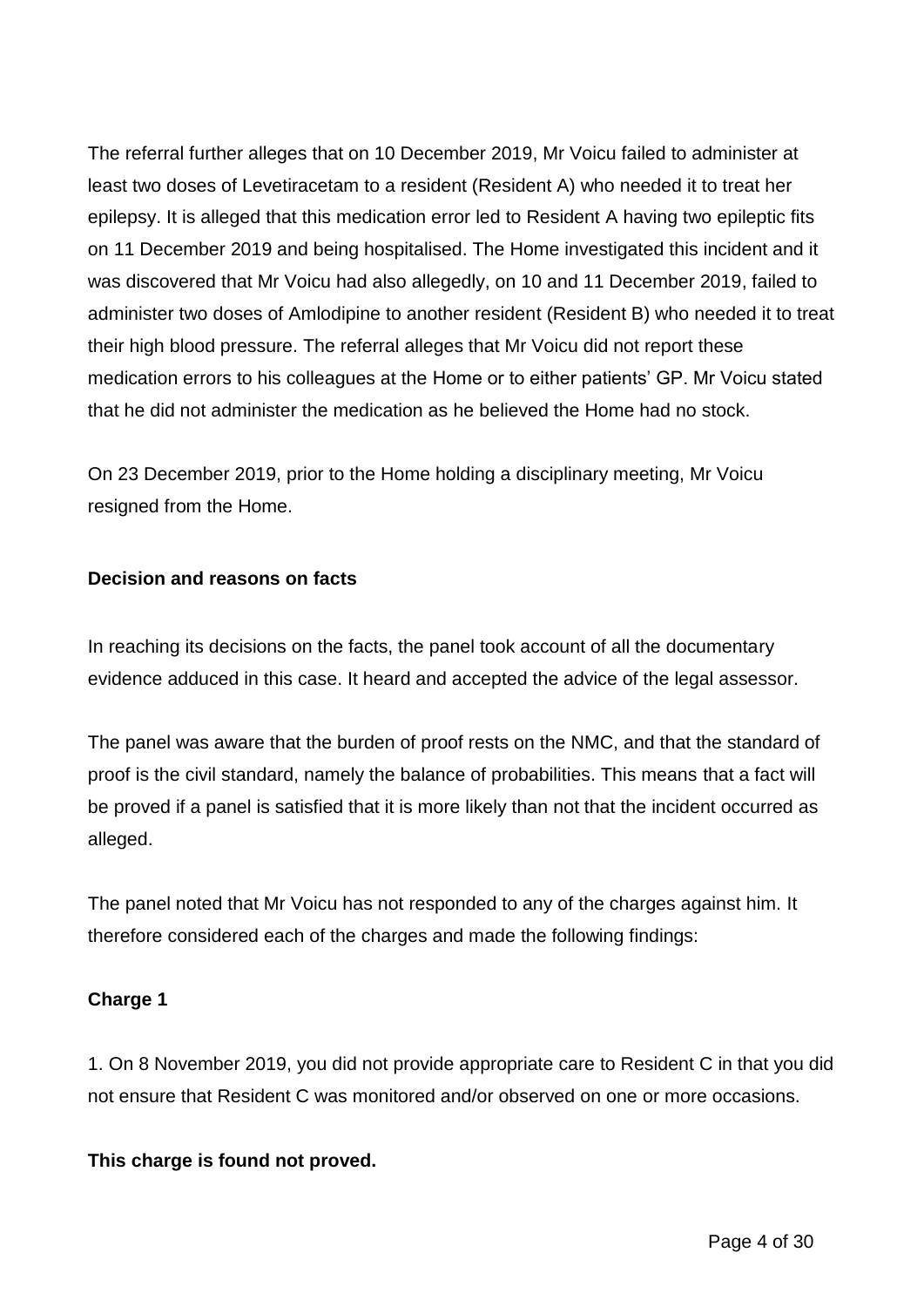The referral further alleges that on 10 December 2019, Mr Voicu failed to administer at least two doses of Levetiracetam to a resident (Resident A) who needed it to treat her epilepsy. It is alleged that this medication error led to Resident A having two epileptic fits on 11 December 2019 and being hospitalised. The Home investigated this incident and it was discovered that Mr Voicu had also allegedly, on 10 and 11 December 2019, failed to administer two doses of Amlodipine to another resident (Resident B) who needed it to treat their high blood pressure. The referral alleges that Mr Voicu did not report these medication errors to his colleagues at the Home or to either patients' GP. Mr Voicu stated that he did not administer the medication as he believed the Home had no stock.

On 23 December 2019, prior to the Home holding a disciplinary meeting, Mr Voicu resigned from the Home.

#### **Decision and reasons on facts**

In reaching its decisions on the facts, the panel took account of all the documentary evidence adduced in this case. It heard and accepted the advice of the legal assessor.

The panel was aware that the burden of proof rests on the NMC, and that the standard of proof is the civil standard, namely the balance of probabilities. This means that a fact will be proved if a panel is satisfied that it is more likely than not that the incident occurred as alleged.

The panel noted that Mr Voicu has not responded to any of the charges against him. It therefore considered each of the charges and made the following findings:

## **Charge 1**

1. On 8 November 2019, you did not provide appropriate care to Resident C in that you did not ensure that Resident C was monitored and/or observed on one or more occasions.

## **This charge is found not proved.**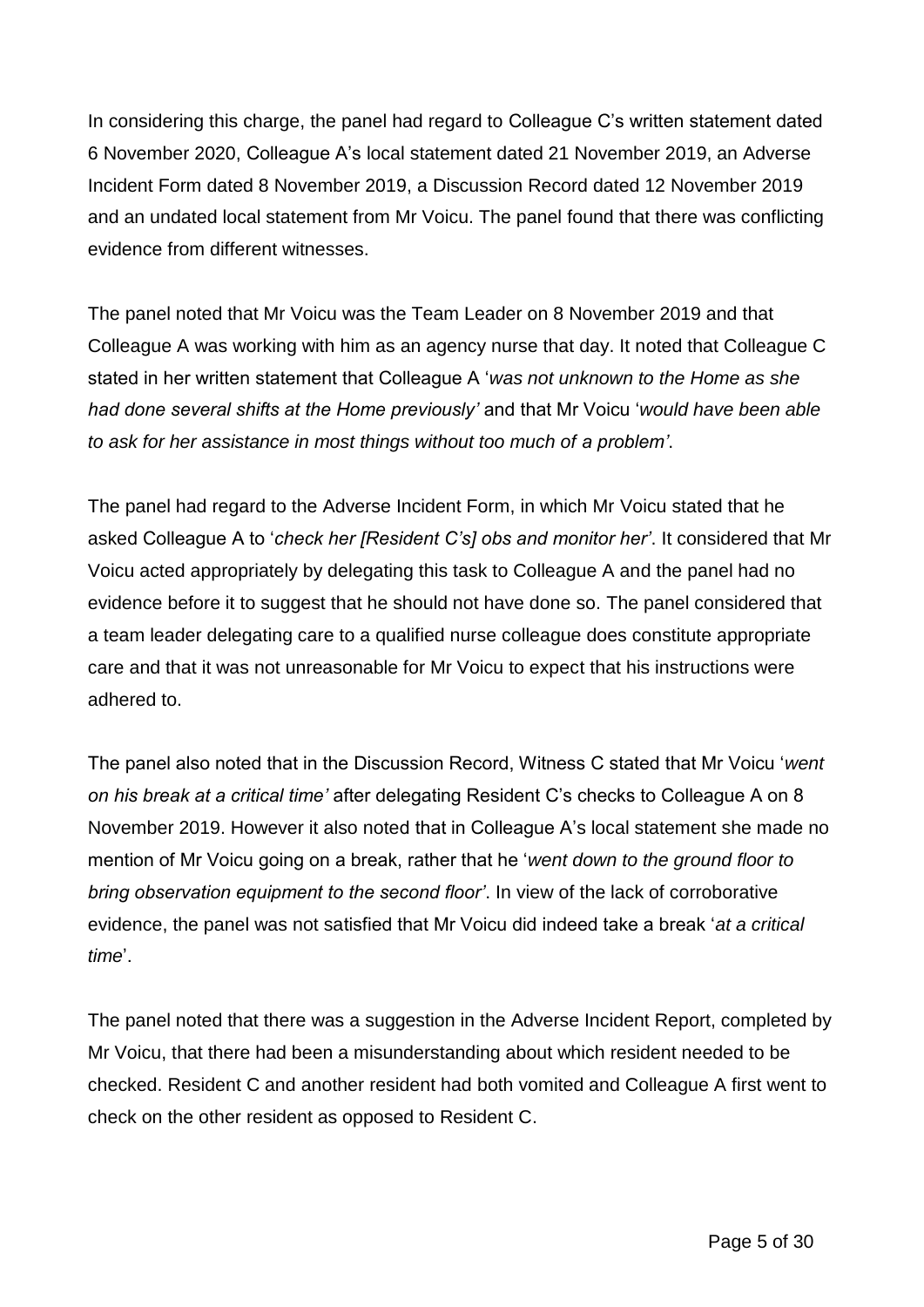In considering this charge, the panel had regard to Colleague C's written statement dated 6 November 2020, Colleague A's local statement dated 21 November 2019, an Adverse Incident Form dated 8 November 2019, a Discussion Record dated 12 November 2019 and an undated local statement from Mr Voicu. The panel found that there was conflicting evidence from different witnesses.

The panel noted that Mr Voicu was the Team Leader on 8 November 2019 and that Colleague A was working with him as an agency nurse that day. It noted that Colleague C stated in her written statement that Colleague A '*was not unknown to the Home as she had done several shifts at the Home previously'* and that Mr Voicu '*would have been able to ask for her assistance in most things without too much of a problem'*.

The panel had regard to the Adverse Incident Form, in which Mr Voicu stated that he asked Colleague A to '*check her [Resident C's] obs and monitor her'*. It considered that Mr Voicu acted appropriately by delegating this task to Colleague A and the panel had no evidence before it to suggest that he should not have done so. The panel considered that a team leader delegating care to a qualified nurse colleague does constitute appropriate care and that it was not unreasonable for Mr Voicu to expect that his instructions were adhered to.

The panel also noted that in the Discussion Record, Witness C stated that Mr Voicu '*went on his break at a critical time'* after delegating Resident C's checks to Colleague A on 8 November 2019. However it also noted that in Colleague A's local statement she made no mention of Mr Voicu going on a break, rather that he '*went down to the ground floor to bring observation equipment to the second floor'*. In view of the lack of corroborative evidence, the panel was not satisfied that Mr Voicu did indeed take a break '*at a critical time*'.

The panel noted that there was a suggestion in the Adverse Incident Report, completed by Mr Voicu, that there had been a misunderstanding about which resident needed to be checked. Resident C and another resident had both vomited and Colleague A first went to check on the other resident as opposed to Resident C.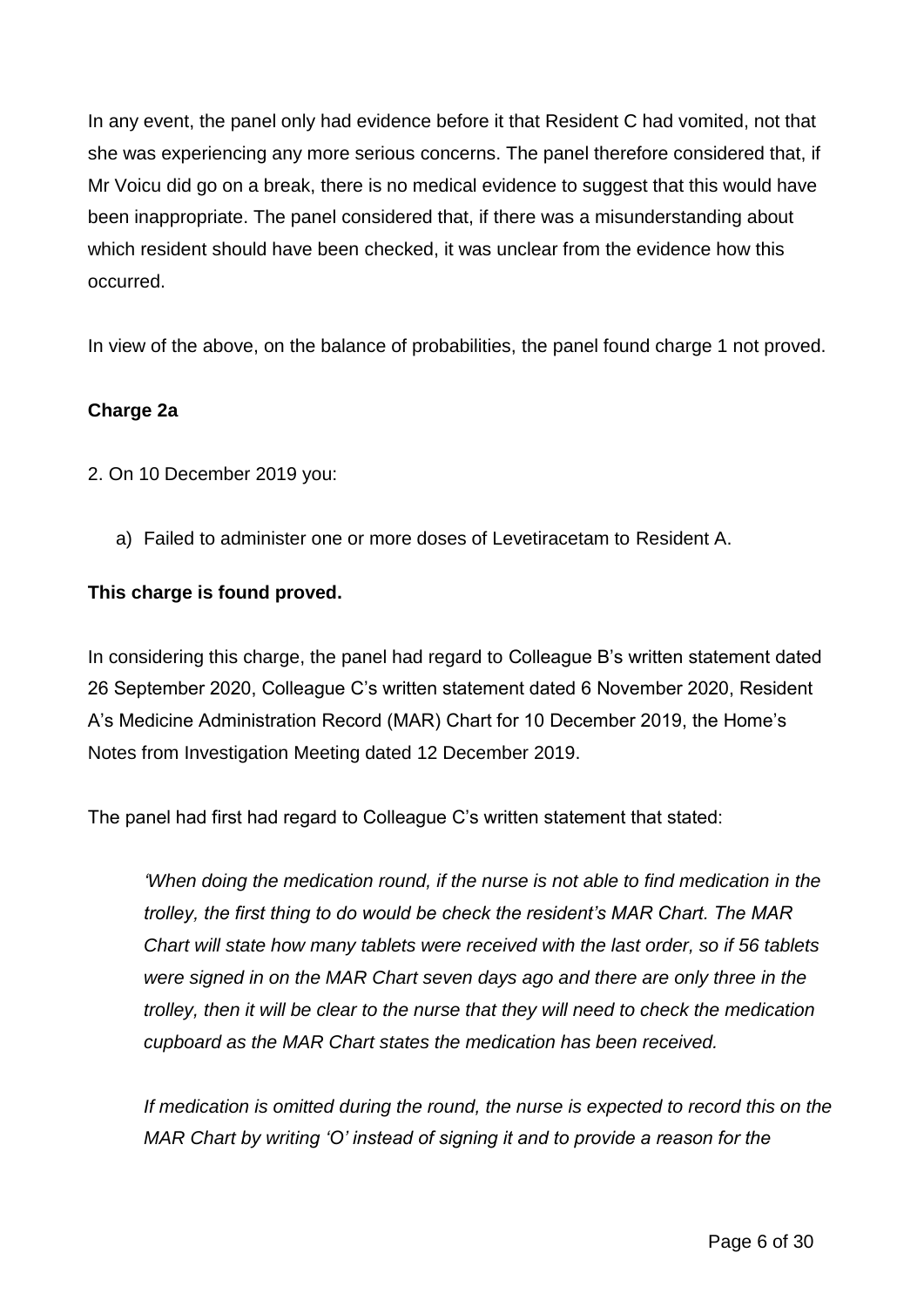In any event, the panel only had evidence before it that Resident C had vomited, not that she was experiencing any more serious concerns. The panel therefore considered that, if Mr Voicu did go on a break, there is no medical evidence to suggest that this would have been inappropriate. The panel considered that, if there was a misunderstanding about which resident should have been checked, it was unclear from the evidence how this occurred.

In view of the above, on the balance of probabilities, the panel found charge 1 not proved.

## **Charge 2a**

- 2. On 10 December 2019 you:
	- a) Failed to administer one or more doses of Levetiracetam to Resident A.

#### **This charge is found proved.**

In considering this charge, the panel had regard to Colleague B's written statement dated 26 September 2020, Colleague C's written statement dated 6 November 2020, Resident A's Medicine Administration Record (MAR) Chart for 10 December 2019, the Home's Notes from Investigation Meeting dated 12 December 2019.

The panel had first had regard to Colleague C's written statement that stated:

*'When doing the medication round, if the nurse is not able to find medication in the trolley, the first thing to do would be check the resident's MAR Chart. The MAR Chart will state how many tablets were received with the last order, so if 56 tablets were signed in on the MAR Chart seven days ago and there are only three in the trolley, then it will be clear to the nurse that they will need to check the medication cupboard as the MAR Chart states the medication has been received.*

*If medication is omitted during the round, the nurse is expected to record this on the MAR Chart by writing 'O' instead of signing it and to provide a reason for the*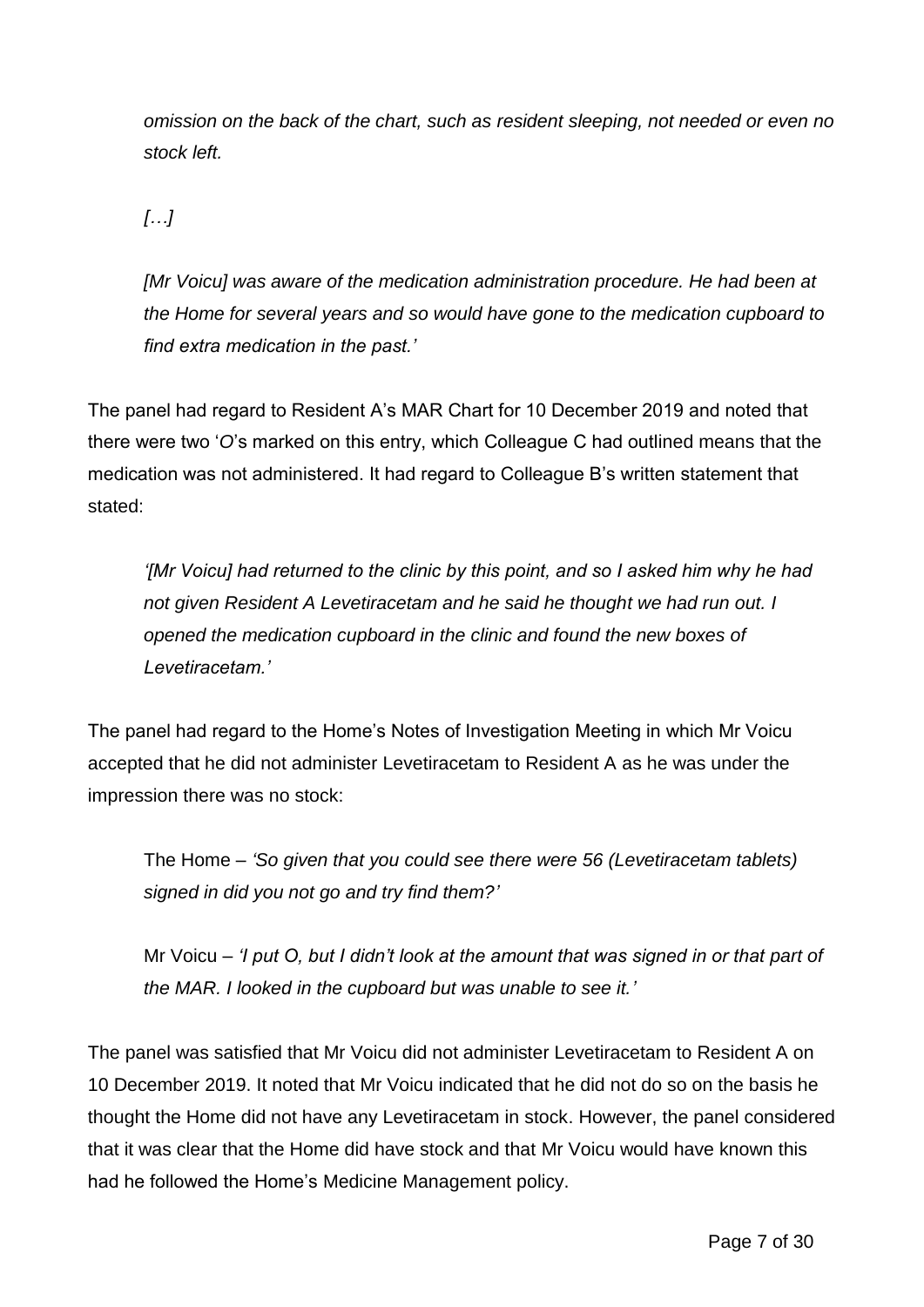*omission on the back of the chart, such as resident sleeping, not needed or even no stock left.*

*[…]*

*[Mr Voicu] was aware of the medication administration procedure. He had been at the Home for several years and so would have gone to the medication cupboard to find extra medication in the past.'*

The panel had regard to Resident A's MAR Chart for 10 December 2019 and noted that there were two '*O*'s marked on this entry, which Colleague C had outlined means that the medication was not administered. It had regard to Colleague B's written statement that stated:

*'[Mr Voicu] had returned to the clinic by this point, and so I asked him why he had not given Resident A Levetiracetam and he said he thought we had run out. I opened the medication cupboard in the clinic and found the new boxes of Levetiracetam.'*

The panel had regard to the Home's Notes of Investigation Meeting in which Mr Voicu accepted that he did not administer Levetiracetam to Resident A as he was under the impression there was no stock:

The Home – *'So given that you could see there were 56 (Levetiracetam tablets) signed in did you not go and try find them?'*

Mr Voicu – *'I put O, but I didn't look at the amount that was signed in or that part of the MAR. I looked in the cupboard but was unable to see it.'*

The panel was satisfied that Mr Voicu did not administer Levetiracetam to Resident A on 10 December 2019. It noted that Mr Voicu indicated that he did not do so on the basis he thought the Home did not have any Levetiracetam in stock. However, the panel considered that it was clear that the Home did have stock and that Mr Voicu would have known this had he followed the Home's Medicine Management policy.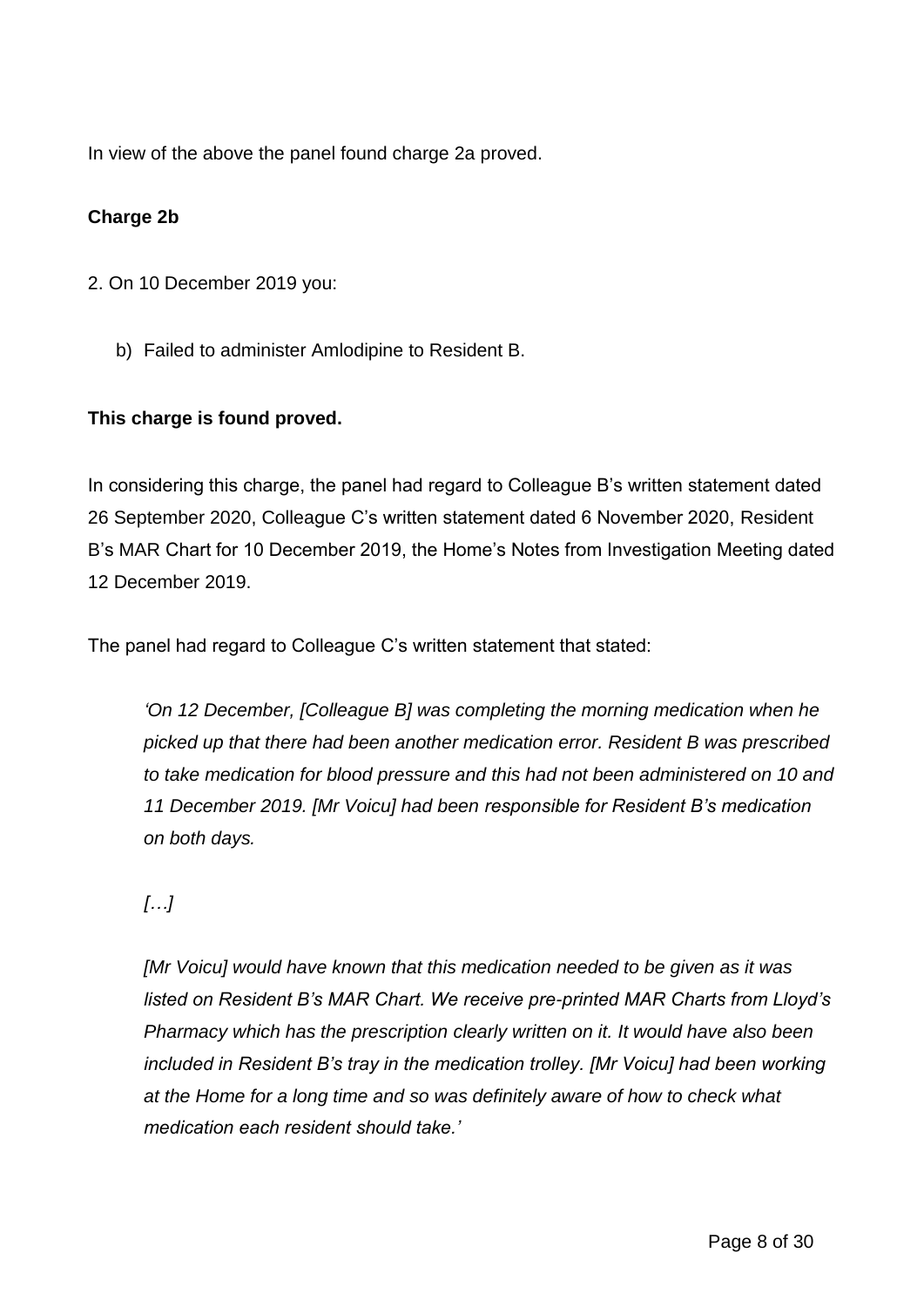In view of the above the panel found charge 2a proved.

## **Charge 2b**

- 2. On 10 December 2019 you:
	- b) Failed to administer Amlodipine to Resident B.

## **This charge is found proved.**

In considering this charge, the panel had regard to Colleague B's written statement dated 26 September 2020, Colleague C's written statement dated 6 November 2020, Resident B's MAR Chart for 10 December 2019, the Home's Notes from Investigation Meeting dated 12 December 2019.

The panel had regard to Colleague C's written statement that stated:

*'On 12 December, [Colleague B] was completing the morning medication when he picked up that there had been another medication error. Resident B was prescribed to take medication for blood pressure and this had not been administered on 10 and 11 December 2019. [Mr Voicu] had been responsible for Resident B's medication on both days.*

# *[…]*

*[Mr Voicu] would have known that this medication needed to be given as it was listed on Resident B's MAR Chart. We receive pre-printed MAR Charts from Lloyd's Pharmacy which has the prescription clearly written on it. It would have also been included in Resident B's tray in the medication trolley. [Mr Voicu] had been working at the Home for a long time and so was definitely aware of how to check what medication each resident should take.'*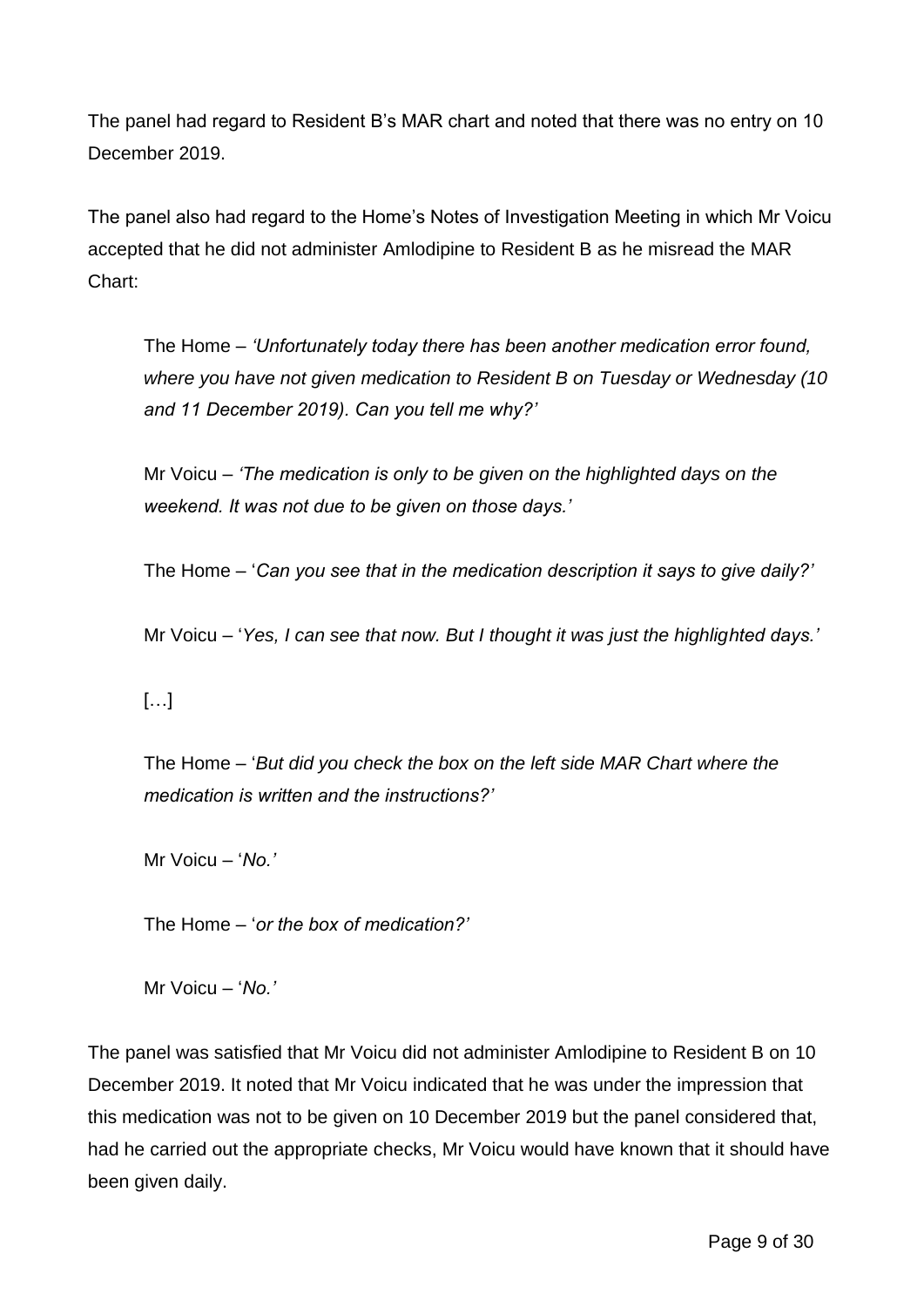The panel had regard to Resident B's MAR chart and noted that there was no entry on 10 December 2019.

The panel also had regard to the Home's Notes of Investigation Meeting in which Mr Voicu accepted that he did not administer Amlodipine to Resident B as he misread the MAR Chart:

The Home – *'Unfortunately today there has been another medication error found, where you have not given medication to Resident B on Tuesday or Wednesday (10 and 11 December 2019). Can you tell me why?'*

Mr Voicu *– 'The medication is only to be given on the highlighted days on the weekend. It was not due to be given on those days.'*

The Home – '*Can you see that in the medication description it says to give daily?'*

Mr Voicu – '*Yes, I can see that now. But I thought it was just the highlighted days.'*

## $[...]$

The Home – '*But did you check the box on the left side MAR Chart where the medication is written and the instructions?'*

Mr Voicu – '*No.'*

The Home – '*or the box of medication?'*

Mr Voicu – '*No.'*

The panel was satisfied that Mr Voicu did not administer Amlodipine to Resident B on 10 December 2019. It noted that Mr Voicu indicated that he was under the impression that this medication was not to be given on 10 December 2019 but the panel considered that, had he carried out the appropriate checks, Mr Voicu would have known that it should have been given daily.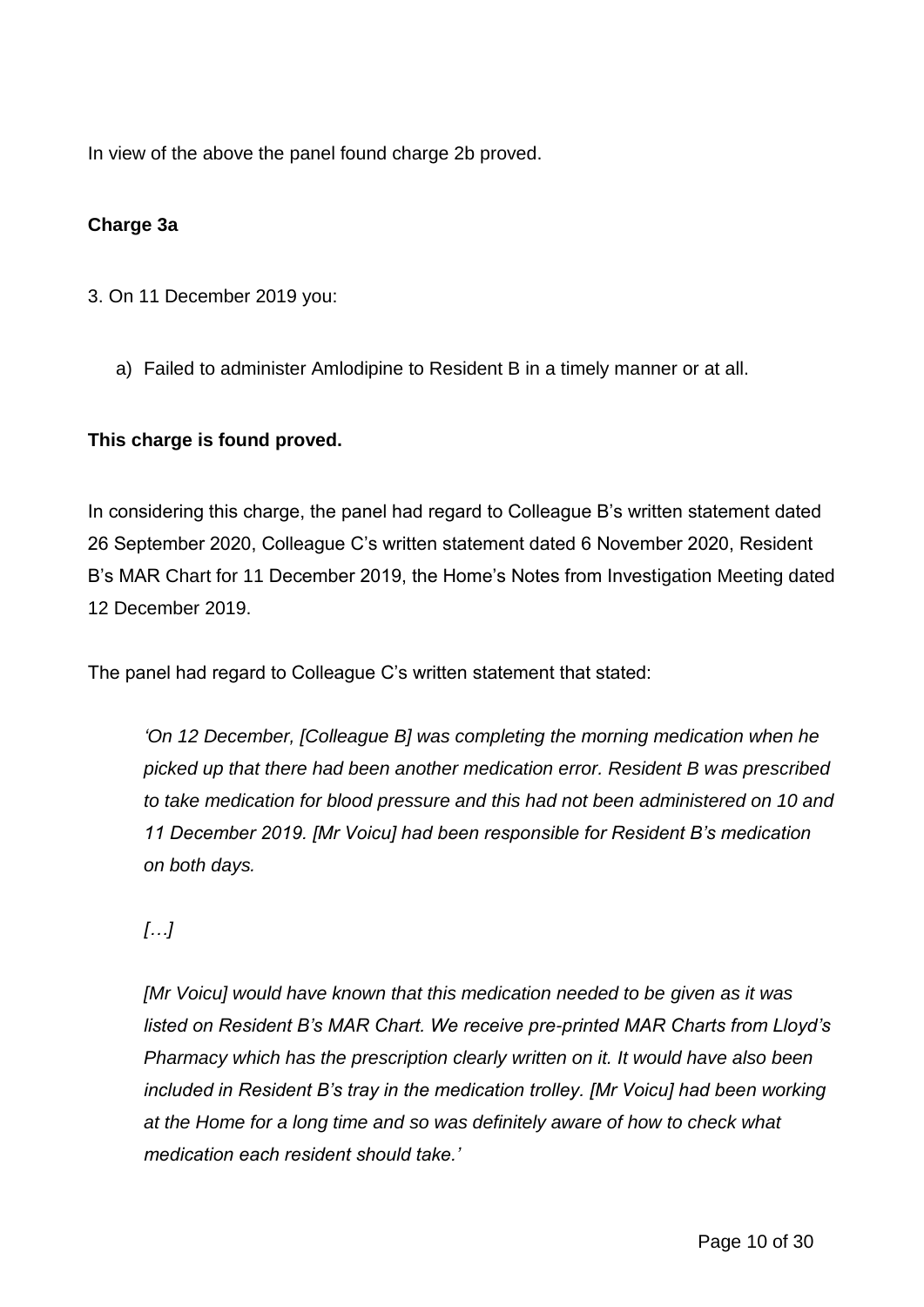In view of the above the panel found charge 2b proved.

## **Charge 3a**

- 3. On 11 December 2019 you:
	- a) Failed to administer Amlodipine to Resident B in a timely manner or at all.

## **This charge is found proved.**

In considering this charge, the panel had regard to Colleague B's written statement dated 26 September 2020, Colleague C's written statement dated 6 November 2020, Resident B's MAR Chart for 11 December 2019, the Home's Notes from Investigation Meeting dated 12 December 2019.

The panel had regard to Colleague C's written statement that stated:

*'On 12 December, [Colleague B] was completing the morning medication when he picked up that there had been another medication error. Resident B was prescribed to take medication for blood pressure and this had not been administered on 10 and 11 December 2019. [Mr Voicu] had been responsible for Resident B's medication on both days.*

## *[…]*

*[Mr Voicu] would have known that this medication needed to be given as it was listed on Resident B's MAR Chart. We receive pre-printed MAR Charts from Lloyd's Pharmacy which has the prescription clearly written on it. It would have also been included in Resident B's tray in the medication trolley. [Mr Voicu] had been working at the Home for a long time and so was definitely aware of how to check what medication each resident should take.'*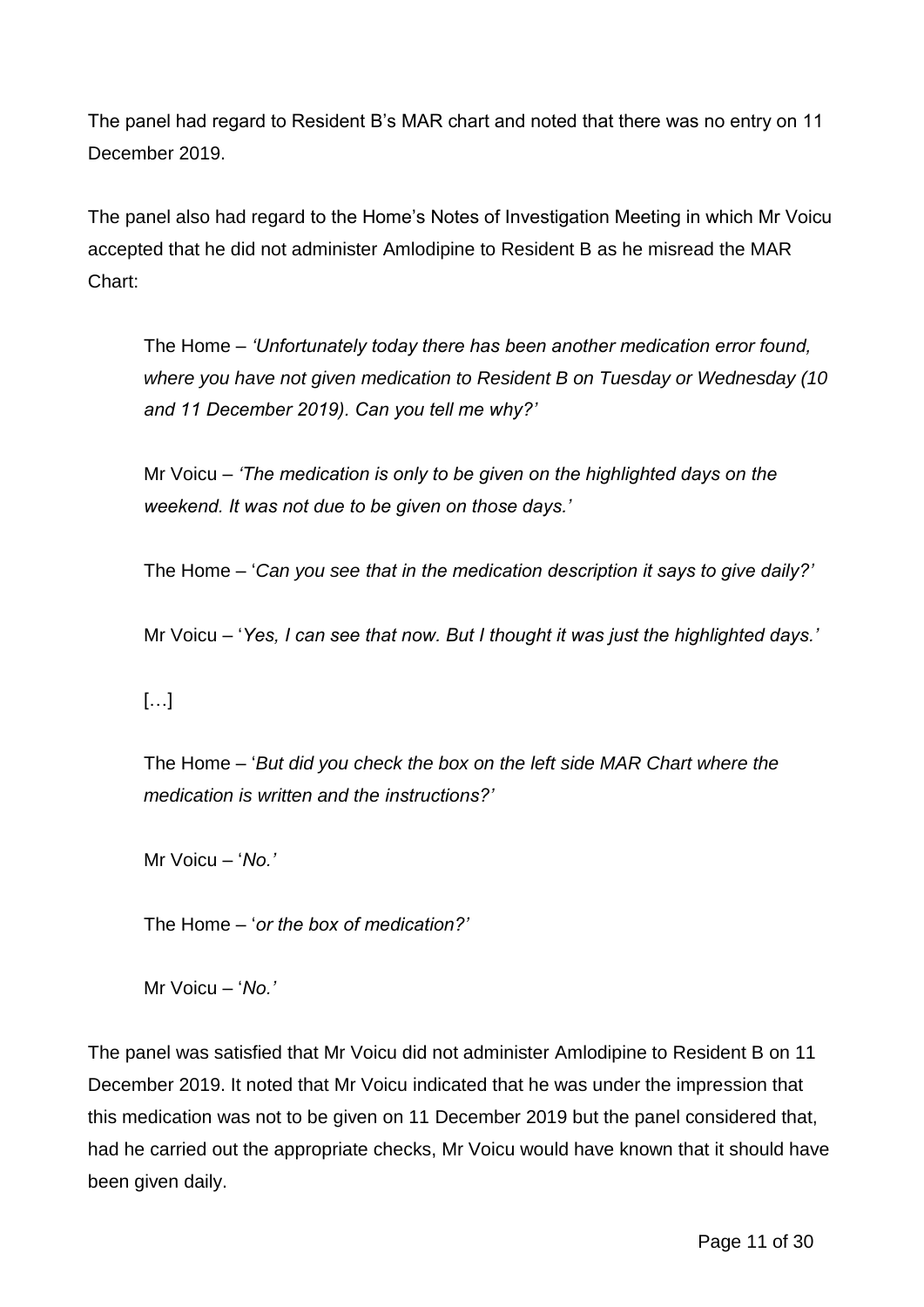The panel had regard to Resident B's MAR chart and noted that there was no entry on 11 December 2019.

The panel also had regard to the Home's Notes of Investigation Meeting in which Mr Voicu accepted that he did not administer Amlodipine to Resident B as he misread the MAR Chart:

The Home – *'Unfortunately today there has been another medication error found, where you have not given medication to Resident B on Tuesday or Wednesday (10 and 11 December 2019). Can you tell me why?'*

Mr Voicu *– 'The medication is only to be given on the highlighted days on the weekend. It was not due to be given on those days.'*

The Home – '*Can you see that in the medication description it says to give daily?'*

Mr Voicu – '*Yes, I can see that now. But I thought it was just the highlighted days.'*

## $[...]$

The Home – '*But did you check the box on the left side MAR Chart where the medication is written and the instructions?'*

Mr Voicu – '*No.'*

The Home – '*or the box of medication?'*

Mr Voicu – '*No.'*

The panel was satisfied that Mr Voicu did not administer Amlodipine to Resident B on 11 December 2019. It noted that Mr Voicu indicated that he was under the impression that this medication was not to be given on 11 December 2019 but the panel considered that, had he carried out the appropriate checks, Mr Voicu would have known that it should have been given daily.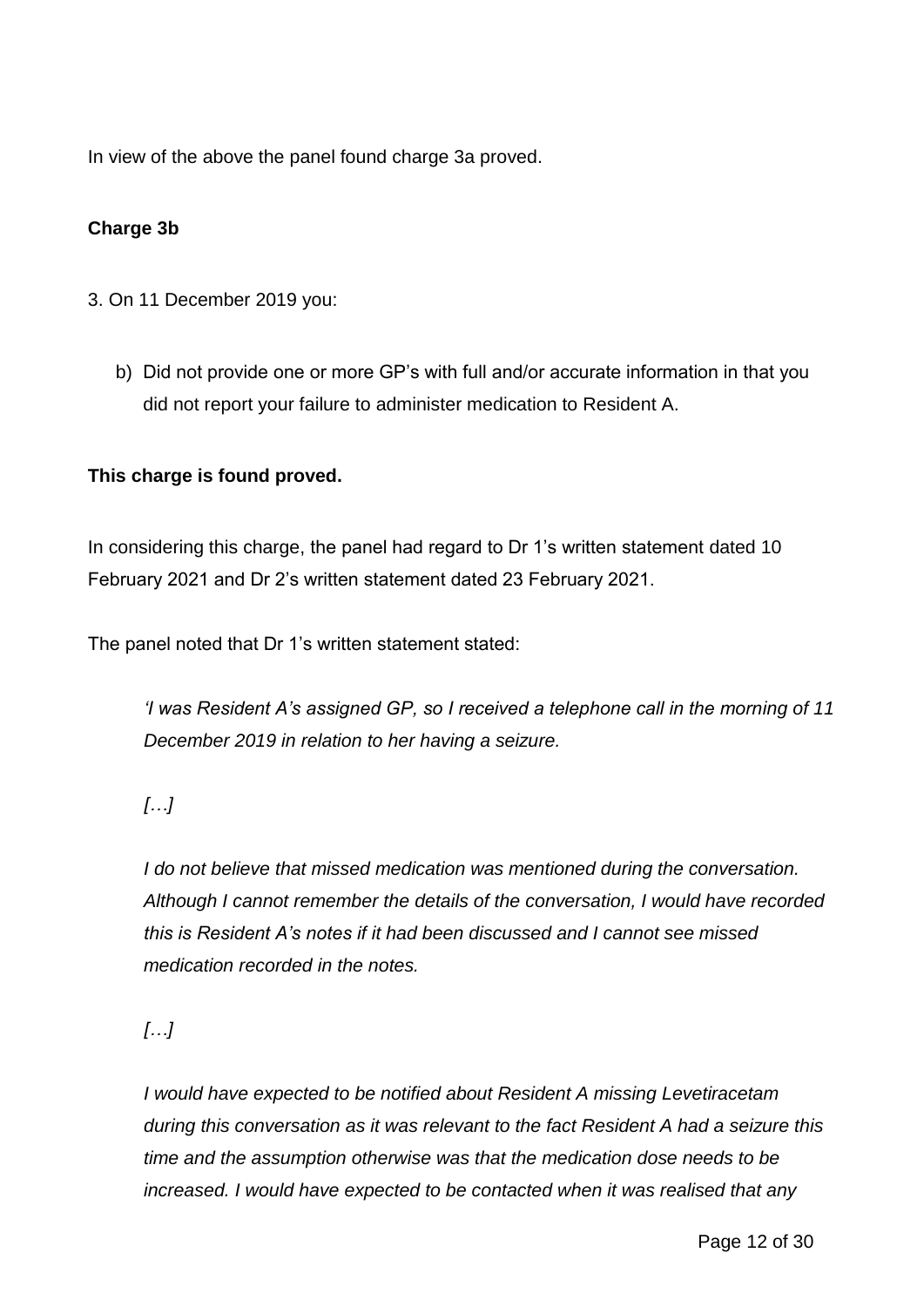In view of the above the panel found charge 3a proved.

## **Charge 3b**

- 3. On 11 December 2019 you:
	- b) Did not provide one or more GP's with full and/or accurate information in that you did not report your failure to administer medication to Resident A.

#### **This charge is found proved.**

In considering this charge, the panel had regard to Dr 1's written statement dated 10 February 2021 and Dr 2's written statement dated 23 February 2021.

The panel noted that Dr 1's written statement stated:

*'I was Resident A's assigned GP, so I received a telephone call in the morning of 11 December 2019 in relation to her having a seizure.*

## *[…]*

*I do not believe that missed medication was mentioned during the conversation. Although I cannot remember the details of the conversation, I would have recorded this is Resident A's notes if it had been discussed and I cannot see missed medication recorded in the notes.*

*[…]*

*I would have expected to be notified about Resident A missing Levetiracetam during this conversation as it was relevant to the fact Resident A had a seizure this time and the assumption otherwise was that the medication dose needs to be increased. I would have expected to be contacted when it was realised that any*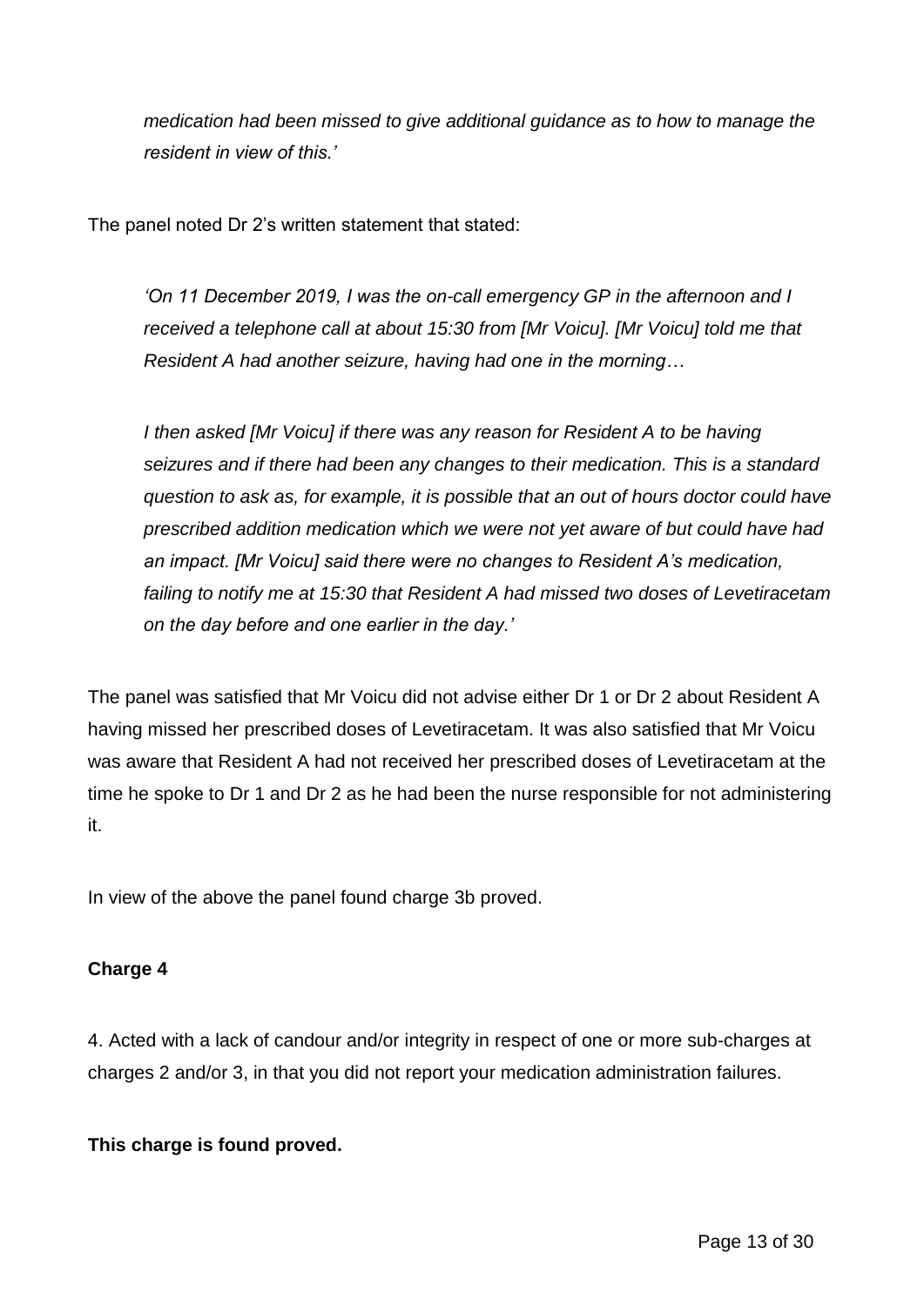*medication had been missed to give additional guidance as to how to manage the resident in view of this.'*

The panel noted Dr 2's written statement that stated:

*'On 11 December 2019, I was the on-call emergency GP in the afternoon and I received a telephone call at about 15:30 from [Mr Voicu]. [Mr Voicu] told me that Resident A had another seizure, having had one in the morning…*

*I then asked [Mr Voicu] if there was any reason for Resident A to be having seizures and if there had been any changes to their medication. This is a standard question to ask as, for example, it is possible that an out of hours doctor could have prescribed addition medication which we were not yet aware of but could have had an impact. [Mr Voicu] said there were no changes to Resident A's medication, failing to notify me at 15:30 that Resident A had missed two doses of Levetiracetam on the day before and one earlier in the day.'*

The panel was satisfied that Mr Voicu did not advise either Dr 1 or Dr 2 about Resident A having missed her prescribed doses of Levetiracetam. It was also satisfied that Mr Voicu was aware that Resident A had not received her prescribed doses of Levetiracetam at the time he spoke to Dr 1 and Dr 2 as he had been the nurse responsible for not administering it.

In view of the above the panel found charge 3b proved.

#### **Charge 4**

4. Acted with a lack of candour and/or integrity in respect of one or more sub-charges at charges 2 and/or 3, in that you did not report your medication administration failures.

#### **This charge is found proved.**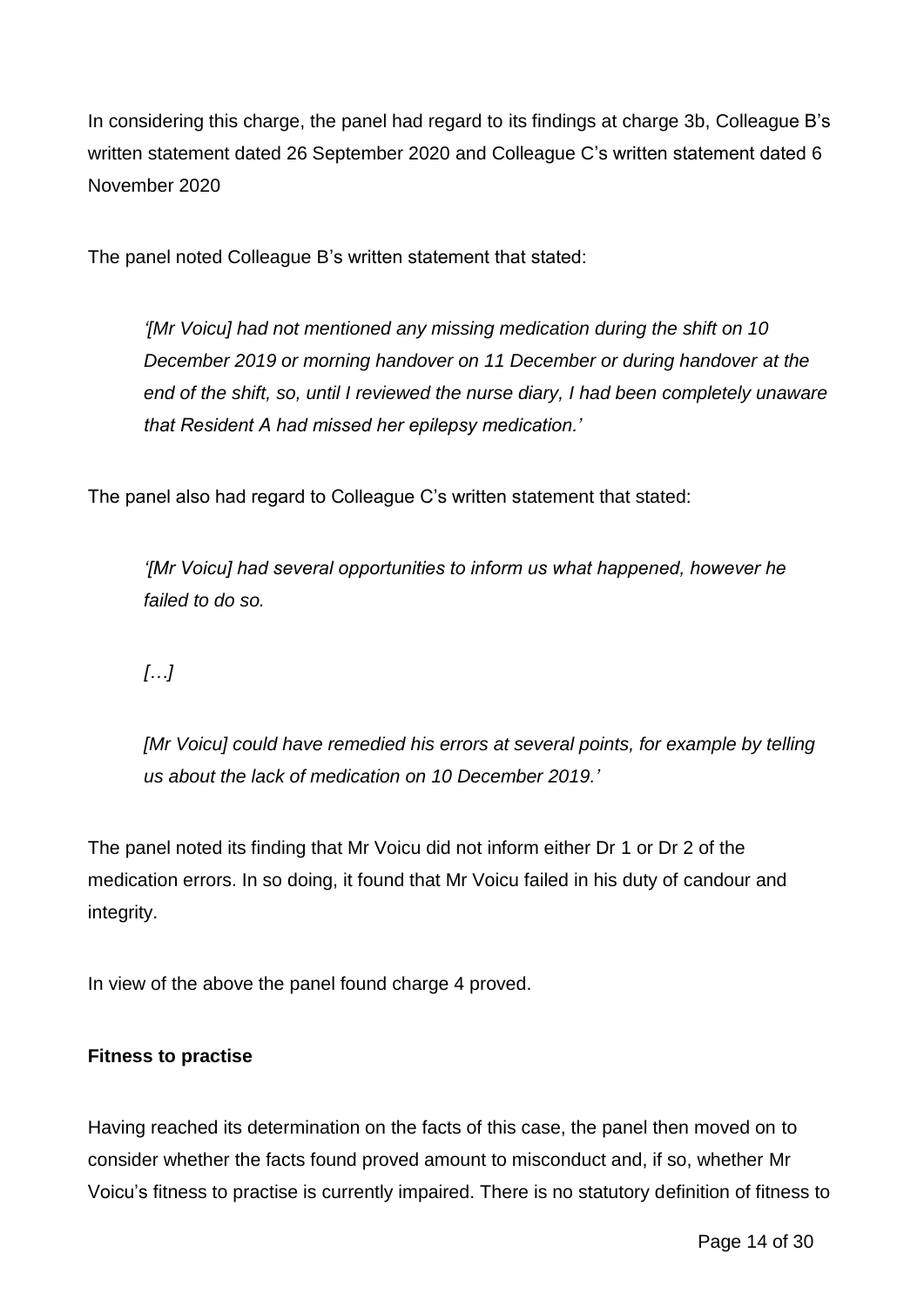In considering this charge, the panel had regard to its findings at charge 3b, Colleague B's written statement dated 26 September 2020 and Colleague C's written statement dated 6 November 2020

The panel noted Colleague B's written statement that stated:

*'[Mr Voicu] had not mentioned any missing medication during the shift on 10 December 2019 or morning handover on 11 December or during handover at the end of the shift, so, until I reviewed the nurse diary, I had been completely unaware that Resident A had missed her epilepsy medication.'*

The panel also had regard to Colleague C's written statement that stated:

*'[Mr Voicu] had several opportunities to inform us what happened, however he failed to do so.*

*[…]*

*[Mr Voicu] could have remedied his errors at several points, for example by telling us about the lack of medication on 10 December 2019.'*

The panel noted its finding that Mr Voicu did not inform either Dr 1 or Dr 2 of the medication errors. In so doing, it found that Mr Voicu failed in his duty of candour and integrity.

In view of the above the panel found charge 4 proved.

#### **Fitness to practise**

Having reached its determination on the facts of this case, the panel then moved on to consider whether the facts found proved amount to misconduct and, if so, whether Mr Voicu's fitness to practise is currently impaired. There is no statutory definition of fitness to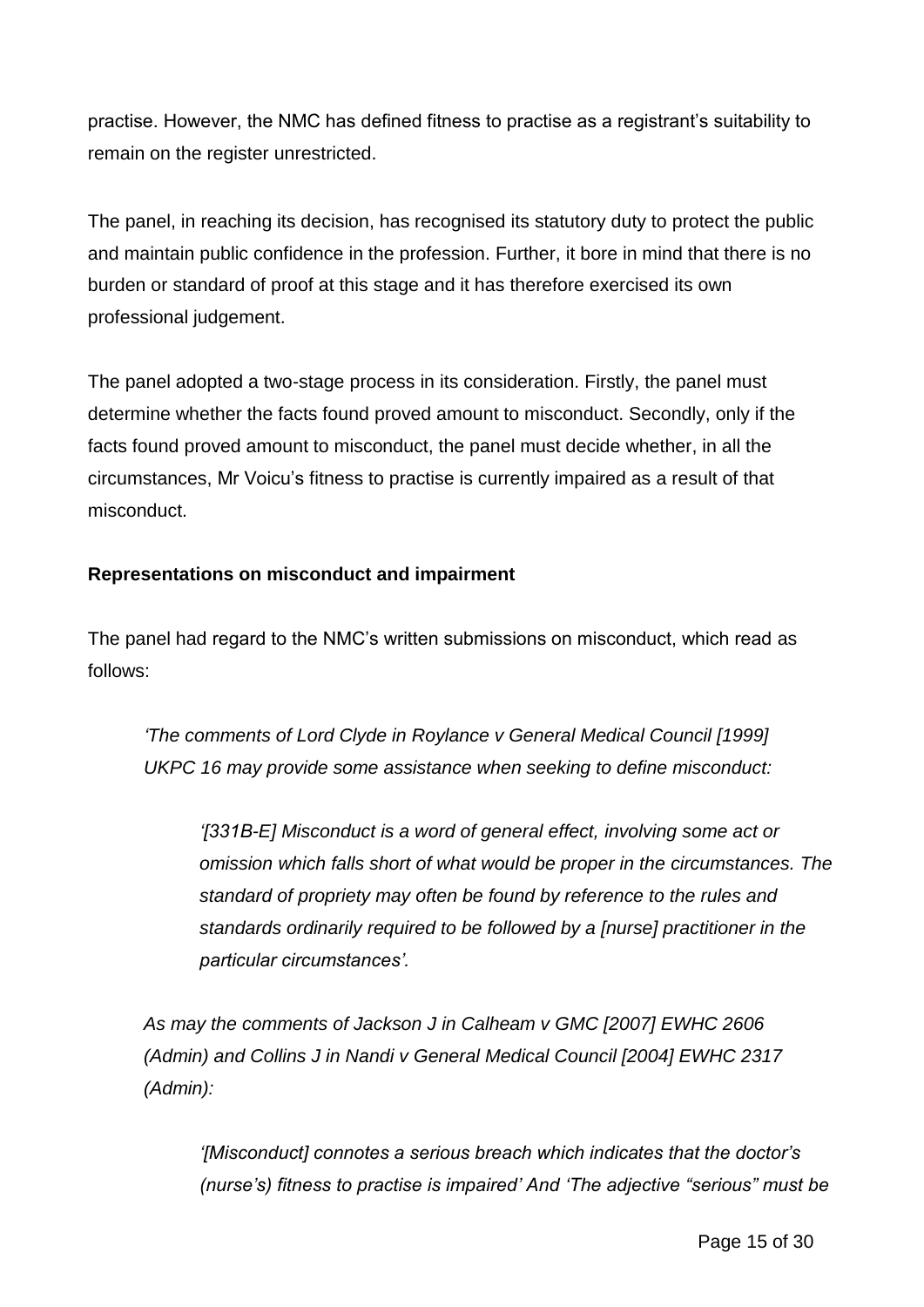practise. However, the NMC has defined fitness to practise as a registrant's suitability to remain on the register unrestricted.

The panel, in reaching its decision, has recognised its statutory duty to protect the public and maintain public confidence in the profession. Further, it bore in mind that there is no burden or standard of proof at this stage and it has therefore exercised its own professional judgement.

The panel adopted a two-stage process in its consideration. Firstly, the panel must determine whether the facts found proved amount to misconduct. Secondly, only if the facts found proved amount to misconduct, the panel must decide whether, in all the circumstances, Mr Voicu's fitness to practise is currently impaired as a result of that misconduct.

#### **Representations on misconduct and impairment**

The panel had regard to the NMC's written submissions on misconduct, which read as follows:

*'The comments of Lord Clyde in Roylance v General Medical Council [1999] UKPC 16 may provide some assistance when seeking to define misconduct:*

*'[331B-E] Misconduct is a word of general effect, involving some act or omission which falls short of what would be proper in the circumstances. The standard of propriety may often be found by reference to the rules and standards ordinarily required to be followed by a [nurse] practitioner in the particular circumstances'.*

*As may the comments of Jackson J in Calheam v GMC [2007] EWHC 2606 (Admin) and Collins J in Nandi v General Medical Council [2004] EWHC 2317 (Admin):*

*'[Misconduct] connotes a serious breach which indicates that the doctor's (nurse's) fitness to practise is impaired' And 'The adjective "serious" must be*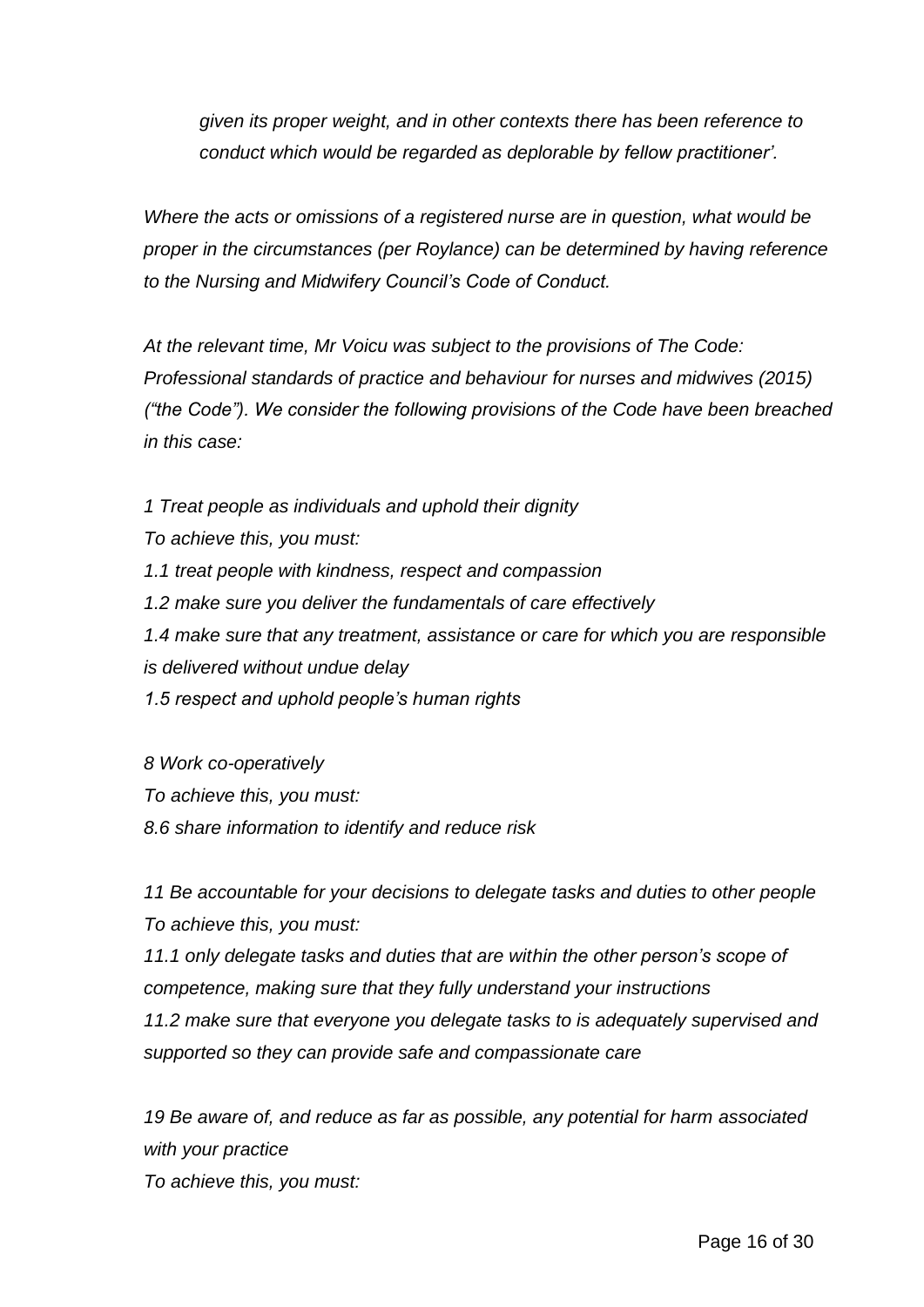*given its proper weight, and in other contexts there has been reference to conduct which would be regarded as deplorable by fellow practitioner'.*

*Where the acts or omissions of a registered nurse are in question, what would be proper in the circumstances (per Roylance) can be determined by having reference to the Nursing and Midwifery Council's Code of Conduct.*

*At the relevant time, Mr Voicu was subject to the provisions of The Code: Professional standards of practice and behaviour for nurses and midwives (2015) ("the Code"). We consider the following provisions of the Code have been breached in this case:*

*1 Treat people as individuals and uphold their dignity*

*To achieve this, you must:*

*1.1 treat people with kindness, respect and compassion*

*1.2 make sure you deliver the fundamentals of care effectively*

*1.4 make sure that any treatment, assistance or care for which you are responsible is delivered without undue delay*

*1.5 respect and uphold people's human rights*

*8 Work co-operatively To achieve this, you must: 8.6 share information to identify and reduce risk*

*11 Be accountable for your decisions to delegate tasks and duties to other people To achieve this, you must:*

*11.1 only delegate tasks and duties that are within the other person's scope of competence, making sure that they fully understand your instructions*

*11.2 make sure that everyone you delegate tasks to is adequately supervised and supported so they can provide safe and compassionate care*

*19 Be aware of, and reduce as far as possible, any potential for harm associated with your practice*

*To achieve this, you must:*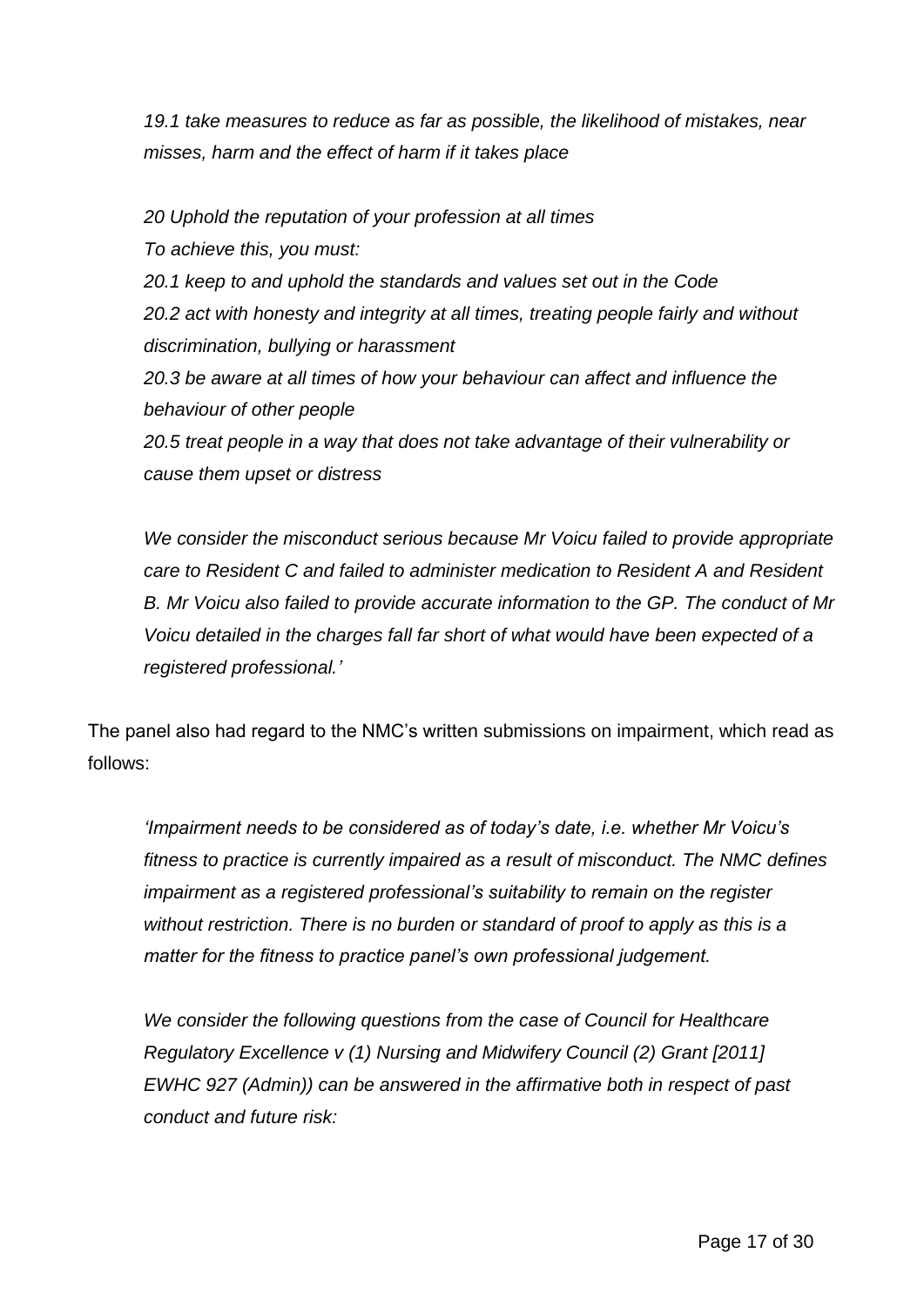*19.1 take measures to reduce as far as possible, the likelihood of mistakes, near misses, harm and the effect of harm if it takes place*

*20 Uphold the reputation of your profession at all times To achieve this, you must: 20.1 keep to and uphold the standards and values set out in the Code 20.2 act with honesty and integrity at all times, treating people fairly and without discrimination, bullying or harassment 20.3 be aware at all times of how your behaviour can affect and influence the behaviour of other people 20.5 treat people in a way that does not take advantage of their vulnerability or cause them upset or distress*

*We consider the misconduct serious because Mr Voicu failed to provide appropriate care to Resident C and failed to administer medication to Resident A and Resident B. Mr Voicu also failed to provide accurate information to the GP. The conduct of Mr Voicu detailed in the charges fall far short of what would have been expected of a registered professional.'*

The panel also had regard to the NMC's written submissions on impairment, which read as follows:

*'Impairment needs to be considered as of today's date, i.e. whether Mr Voicu's fitness to practice is currently impaired as a result of misconduct. The NMC defines impairment as a registered professional's suitability to remain on the register without restriction. There is no burden or standard of proof to apply as this is a matter for the fitness to practice panel's own professional judgement.*

*We consider the following questions from the case of Council for Healthcare Regulatory Excellence v (1) Nursing and Midwifery Council (2) Grant [2011] EWHC 927 (Admin)) can be answered in the affirmative both in respect of past conduct and future risk:*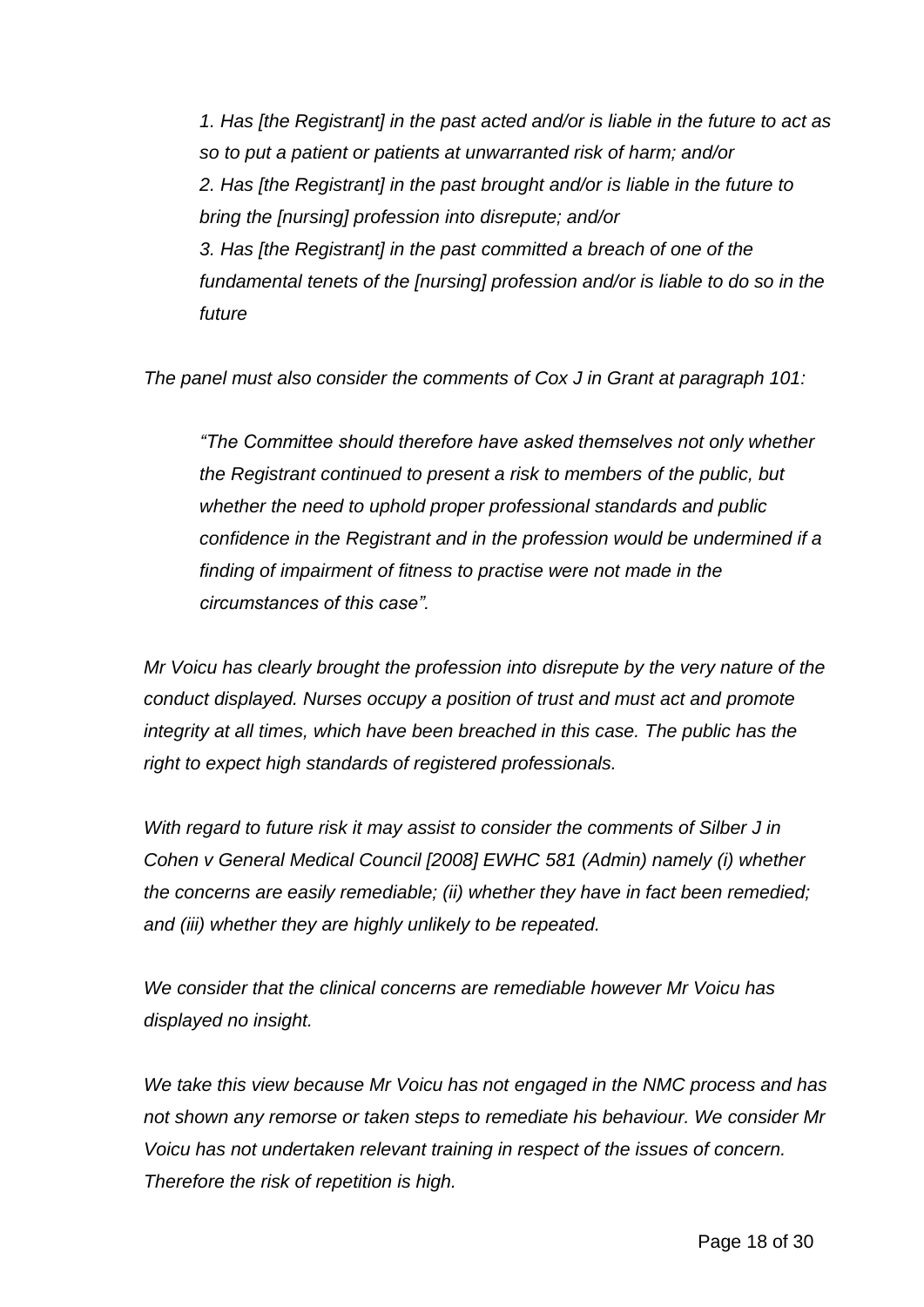*1. Has [the Registrant] in the past acted and/or is liable in the future to act as so to put a patient or patients at unwarranted risk of harm; and/or 2. Has [the Registrant] in the past brought and/or is liable in the future to bring the [nursing] profession into disrepute; and/or 3. Has [the Registrant] in the past committed a breach of one of the fundamental tenets of the [nursing] profession and/or is liable to do so in the future*

*The panel must also consider the comments of Cox J in Grant at paragraph 101:*

*"The Committee should therefore have asked themselves not only whether the Registrant continued to present a risk to members of the public, but whether the need to uphold proper professional standards and public confidence in the Registrant and in the profession would be undermined if a finding of impairment of fitness to practise were not made in the circumstances of this case".*

*Mr Voicu has clearly brought the profession into disrepute by the very nature of the conduct displayed. Nurses occupy a position of trust and must act and promote integrity at all times, which have been breached in this case. The public has the right to expect high standards of registered professionals.*

*With regard to future risk it may assist to consider the comments of Silber J in Cohen v General Medical Council [2008] EWHC 581 (Admin) namely (i) whether the concerns are easily remediable; (ii) whether they have in fact been remedied; and (iii) whether they are highly unlikely to be repeated.*

*We consider that the clinical concerns are remediable however Mr Voicu has displayed no insight.*

*We take this view because Mr Voicu has not engaged in the NMC process and has not shown any remorse or taken steps to remediate his behaviour. We consider Mr Voicu has not undertaken relevant training in respect of the issues of concern. Therefore the risk of repetition is high.*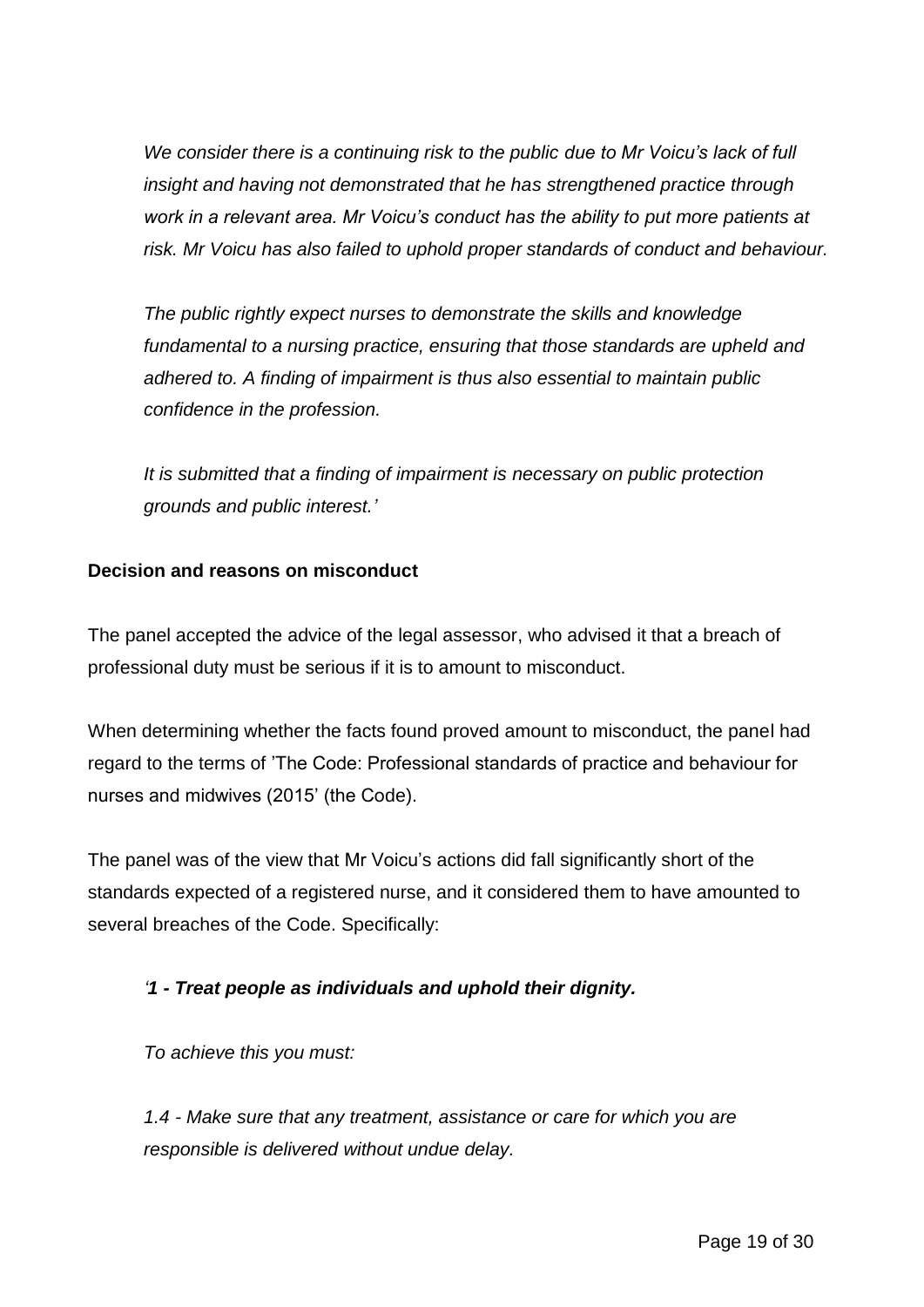*We consider there is a continuing risk to the public due to Mr Voicu's lack of full insight and having not demonstrated that he has strengthened practice through work in a relevant area. Mr Voicu's conduct has the ability to put more patients at risk. Mr Voicu has also failed to uphold proper standards of conduct and behaviour.*

*The public rightly expect nurses to demonstrate the skills and knowledge fundamental to a nursing practice, ensuring that those standards are upheld and adhered to. A finding of impairment is thus also essential to maintain public confidence in the profession.*

*It is submitted that a finding of impairment is necessary on public protection grounds and public interest.'*

## **Decision and reasons on misconduct**

The panel accepted the advice of the legal assessor, who advised it that a breach of professional duty must be serious if it is to amount to misconduct.

When determining whether the facts found proved amount to misconduct, the panel had regard to the terms of 'The Code: Professional standards of practice and behaviour for nurses and midwives (2015' (the Code).

The panel was of the view that Mr Voicu's actions did fall significantly short of the standards expected of a registered nurse, and it considered them to have amounted to several breaches of the Code. Specifically:

## *'1 - Treat people as individuals and uphold their dignity.*

*To achieve this you must:*

*1.4 - Make sure that any treatment, assistance or care for which you are responsible is delivered without undue delay.*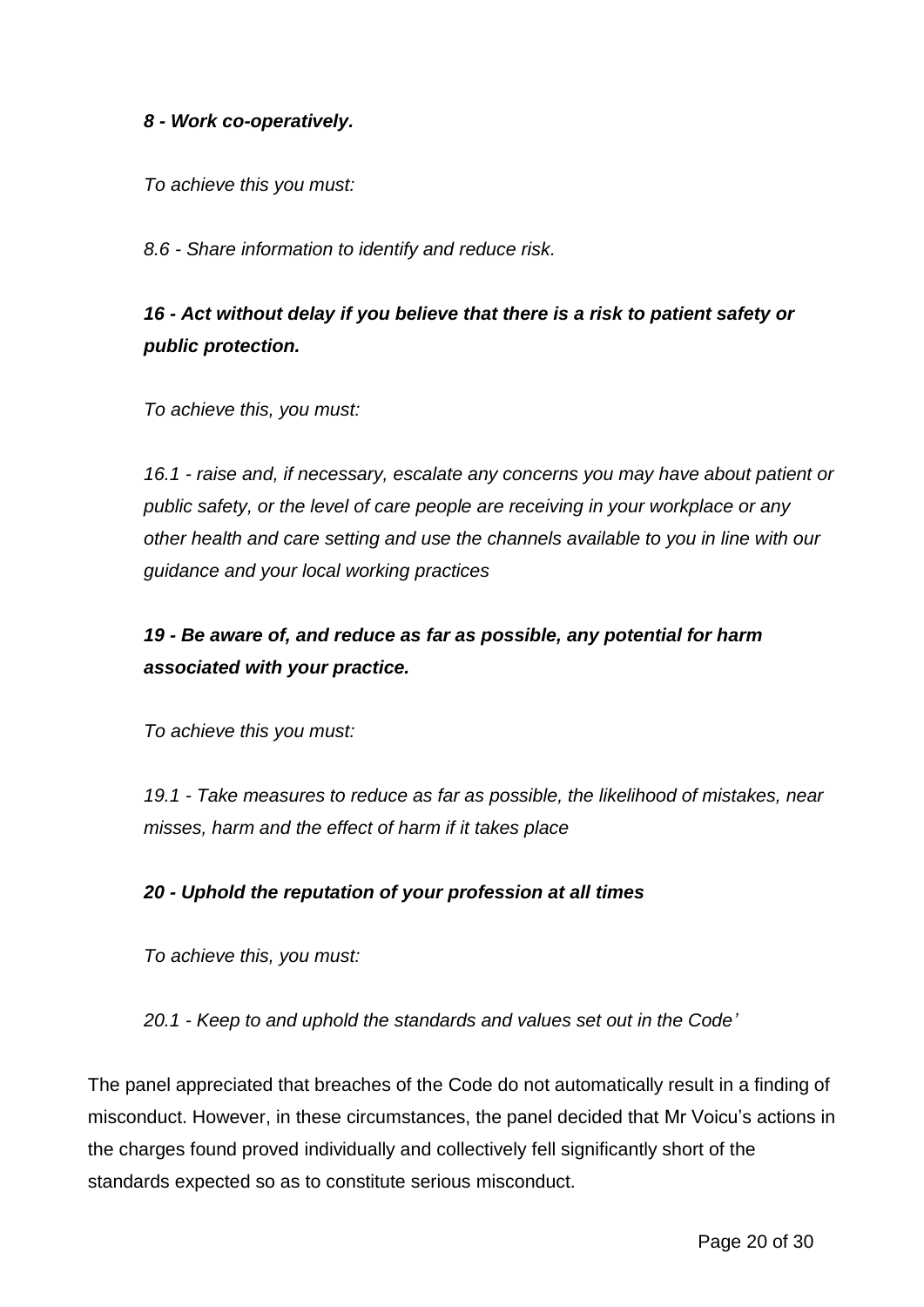#### *8 - Work co-operatively.*

*To achieve this you must:*

*8.6 - Share information to identify and reduce risk.*

# *16 - Act without delay if you believe that there is a risk to patient safety or public protection.*

*To achieve this, you must:*

*16.1 - raise and, if necessary, escalate any concerns you may have about patient or public safety, or the level of care people are receiving in your workplace or any other health and care setting and use the channels available to you in line with our guidance and your local working practices*

# *19 - Be aware of, and reduce as far as possible, any potential for harm associated with your practice.*

*To achieve this you must:*

*19.1 - Take measures to reduce as far as possible, the likelihood of mistakes, near misses, harm and the effect of harm if it takes place*

#### *20 - Uphold the reputation of your profession at all times*

*To achieve this, you must:*

*20.1 - Keep to and uphold the standards and values set out in the Code'*

The panel appreciated that breaches of the Code do not automatically result in a finding of misconduct. However, in these circumstances, the panel decided that Mr Voicu's actions in the charges found proved individually and collectively fell significantly short of the standards expected so as to constitute serious misconduct.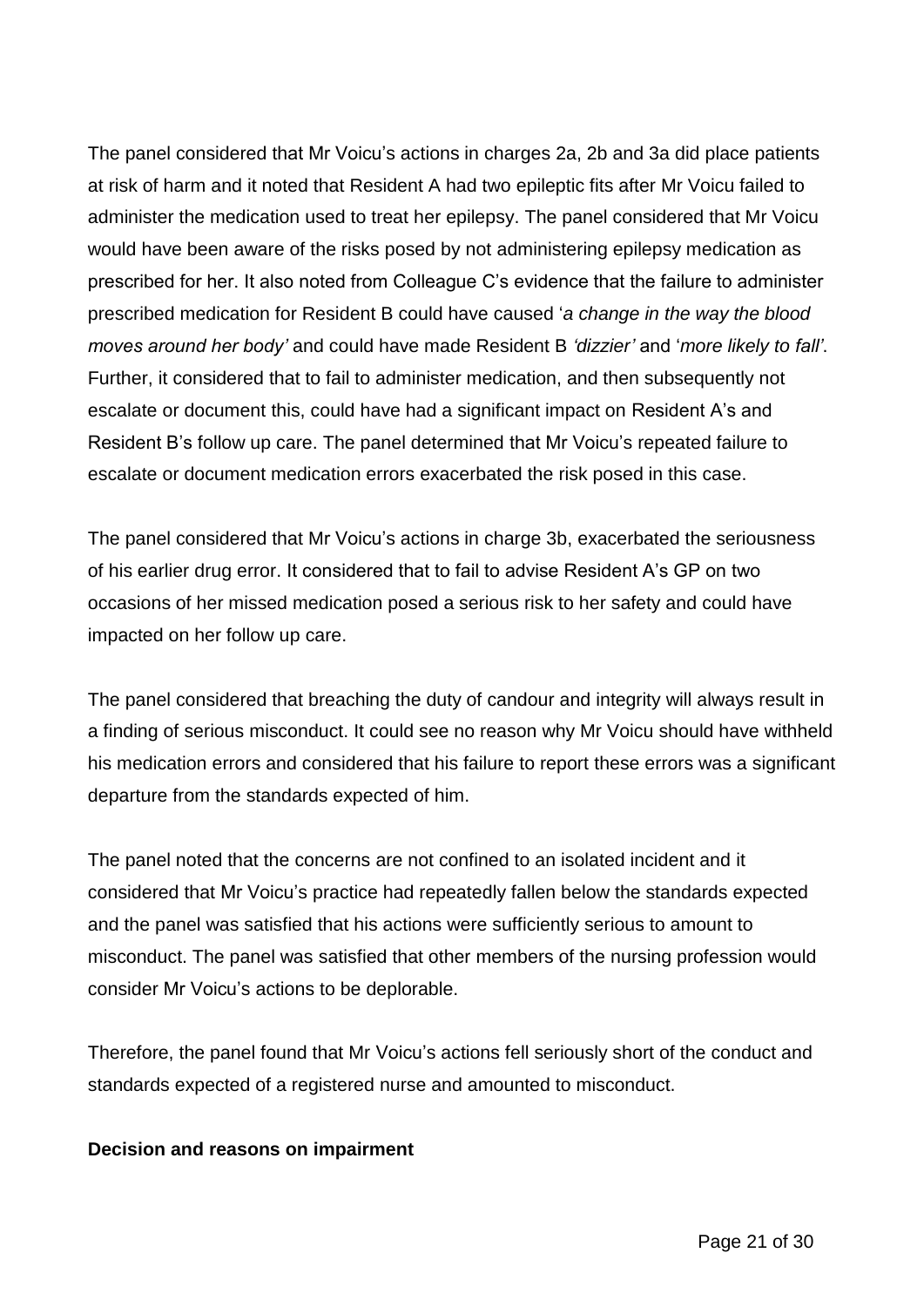The panel considered that Mr Voicu's actions in charges 2a, 2b and 3a did place patients at risk of harm and it noted that Resident A had two epileptic fits after Mr Voicu failed to administer the medication used to treat her epilepsy. The panel considered that Mr Voicu would have been aware of the risks posed by not administering epilepsy medication as prescribed for her. It also noted from Colleague C's evidence that the failure to administer prescribed medication for Resident B could have caused '*a change in the way the blood moves around her body'* and could have made Resident B *'dizzier'* and '*more likely to fall'*. Further, it considered that to fail to administer medication, and then subsequently not escalate or document this, could have had a significant impact on Resident A's and Resident B's follow up care. The panel determined that Mr Voicu's repeated failure to escalate or document medication errors exacerbated the risk posed in this case.

The panel considered that Mr Voicu's actions in charge 3b, exacerbated the seriousness of his earlier drug error. It considered that to fail to advise Resident A's GP on two occasions of her missed medication posed a serious risk to her safety and could have impacted on her follow up care.

The panel considered that breaching the duty of candour and integrity will always result in a finding of serious misconduct. It could see no reason why Mr Voicu should have withheld his medication errors and considered that his failure to report these errors was a significant departure from the standards expected of him.

The panel noted that the concerns are not confined to an isolated incident and it considered that Mr Voicu's practice had repeatedly fallen below the standards expected and the panel was satisfied that his actions were sufficiently serious to amount to misconduct. The panel was satisfied that other members of the nursing profession would consider Mr Voicu's actions to be deplorable.

Therefore, the panel found that Mr Voicu's actions fell seriously short of the conduct and standards expected of a registered nurse and amounted to misconduct.

#### **Decision and reasons on impairment**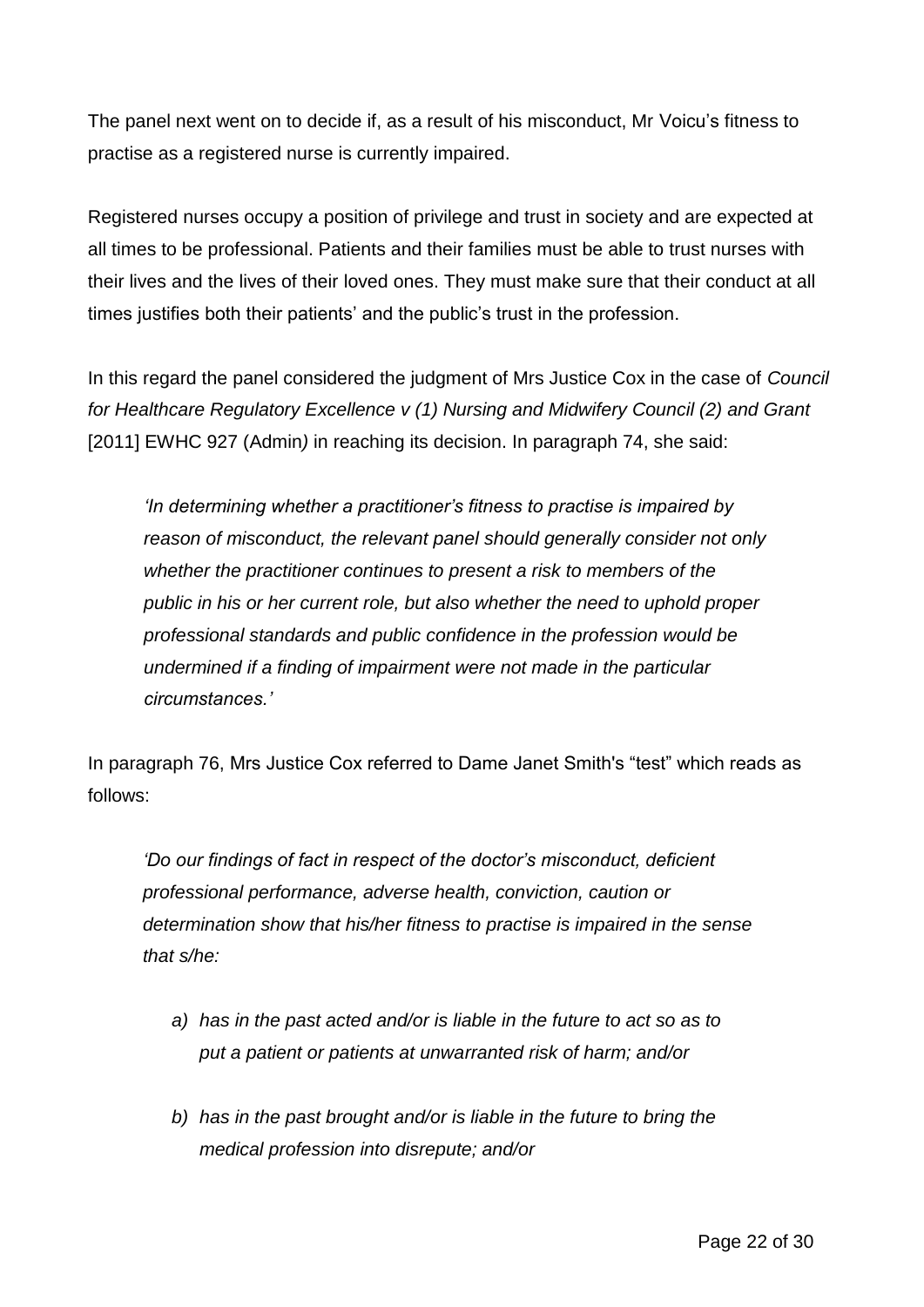The panel next went on to decide if, as a result of his misconduct, Mr Voicu's fitness to practise as a registered nurse is currently impaired.

Registered nurses occupy a position of privilege and trust in society and are expected at all times to be professional. Patients and their families must be able to trust nurses with their lives and the lives of their loved ones. They must make sure that their conduct at all times justifies both their patients' and the public's trust in the profession.

In this regard the panel considered the judgment of Mrs Justice Cox in the case of *Council for Healthcare Regulatory Excellence v (1) Nursing and Midwifery Council (2) and Grant* [2011] EWHC 927 (Admin*)* in reaching its decision. In paragraph 74, she said:

*'In determining whether a practitioner's fitness to practise is impaired by reason of misconduct, the relevant panel should generally consider not only whether the practitioner continues to present a risk to members of the public in his or her current role, but also whether the need to uphold proper professional standards and public confidence in the profession would be undermined if a finding of impairment were not made in the particular circumstances.'*

In paragraph 76, Mrs Justice Cox referred to Dame Janet Smith's "test" which reads as follows:

*'Do our findings of fact in respect of the doctor's misconduct, deficient professional performance, adverse health, conviction, caution or determination show that his/her fitness to practise is impaired in the sense that s/he:*

- *a) has in the past acted and/or is liable in the future to act so as to put a patient or patients at unwarranted risk of harm; and/or*
- *b) has in the past brought and/or is liable in the future to bring the medical profession into disrepute; and/or*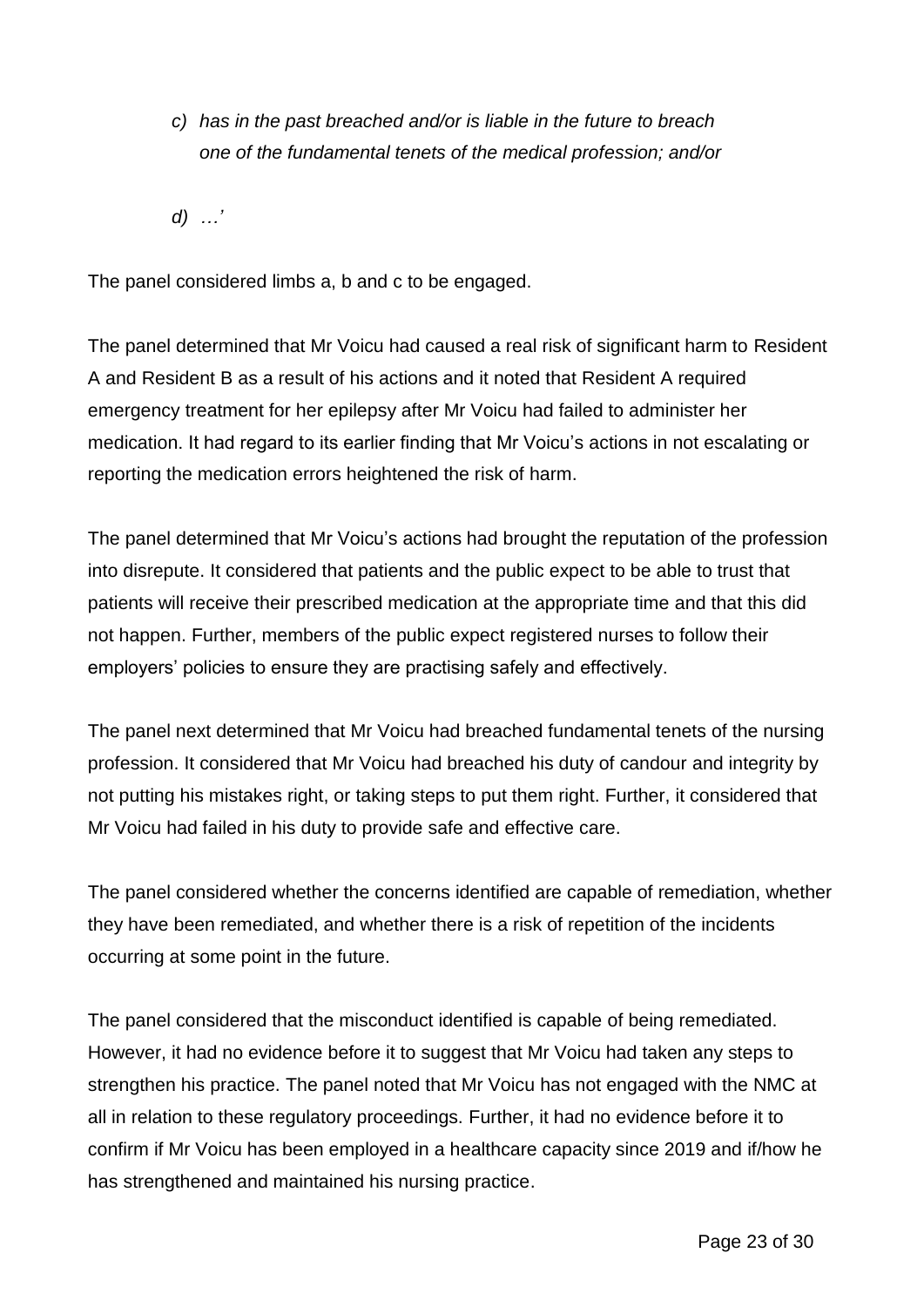- *c) has in the past breached and/or is liable in the future to breach one of the fundamental tenets of the medical profession; and/or*
- *d) …'*

The panel considered limbs a, b and c to be engaged.

The panel determined that Mr Voicu had caused a real risk of significant harm to Resident A and Resident B as a result of his actions and it noted that Resident A required emergency treatment for her epilepsy after Mr Voicu had failed to administer her medication. It had regard to its earlier finding that Mr Voicu's actions in not escalating or reporting the medication errors heightened the risk of harm.

The panel determined that Mr Voicu's actions had brought the reputation of the profession into disrepute. It considered that patients and the public expect to be able to trust that patients will receive their prescribed medication at the appropriate time and that this did not happen. Further, members of the public expect registered nurses to follow their employers' policies to ensure they are practising safely and effectively.

The panel next determined that Mr Voicu had breached fundamental tenets of the nursing profession. It considered that Mr Voicu had breached his duty of candour and integrity by not putting his mistakes right, or taking steps to put them right. Further, it considered that Mr Voicu had failed in his duty to provide safe and effective care.

The panel considered whether the concerns identified are capable of remediation, whether they have been remediated, and whether there is a risk of repetition of the incidents occurring at some point in the future.

The panel considered that the misconduct identified is capable of being remediated. However, it had no evidence before it to suggest that Mr Voicu had taken any steps to strengthen his practice. The panel noted that Mr Voicu has not engaged with the NMC at all in relation to these regulatory proceedings. Further, it had no evidence before it to confirm if Mr Voicu has been employed in a healthcare capacity since 2019 and if/how he has strengthened and maintained his nursing practice.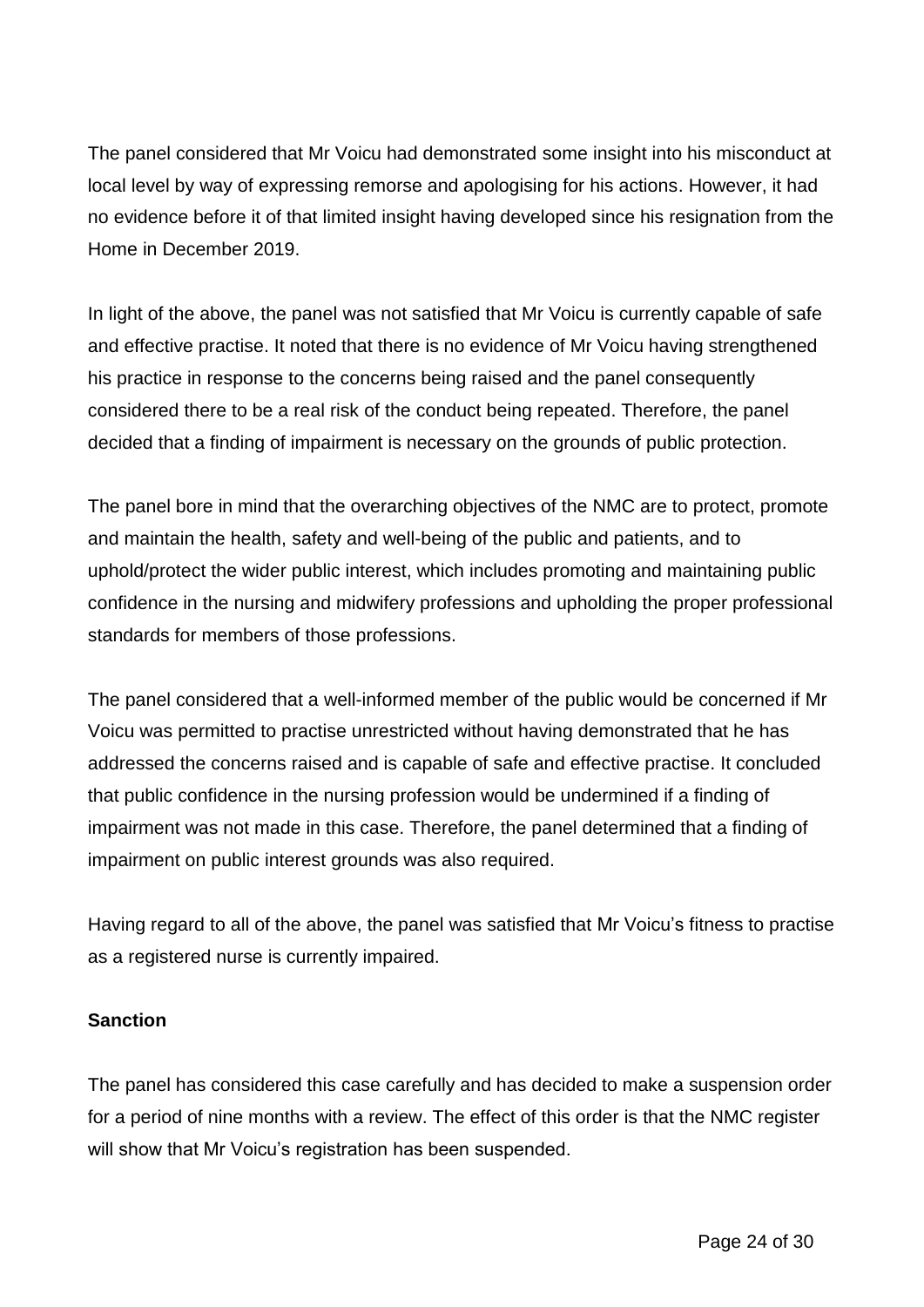The panel considered that Mr Voicu had demonstrated some insight into his misconduct at local level by way of expressing remorse and apologising for his actions. However, it had no evidence before it of that limited insight having developed since his resignation from the Home in December 2019.

In light of the above, the panel was not satisfied that Mr Voicu is currently capable of safe and effective practise. It noted that there is no evidence of Mr Voicu having strengthened his practice in response to the concerns being raised and the panel consequently considered there to be a real risk of the conduct being repeated. Therefore, the panel decided that a finding of impairment is necessary on the grounds of public protection.

The panel bore in mind that the overarching objectives of the NMC are to protect, promote and maintain the health, safety and well-being of the public and patients, and to uphold/protect the wider public interest, which includes promoting and maintaining public confidence in the nursing and midwifery professions and upholding the proper professional standards for members of those professions.

The panel considered that a well-informed member of the public would be concerned if Mr Voicu was permitted to practise unrestricted without having demonstrated that he has addressed the concerns raised and is capable of safe and effective practise. It concluded that public confidence in the nursing profession would be undermined if a finding of impairment was not made in this case. Therefore, the panel determined that a finding of impairment on public interest grounds was also required.

Having regard to all of the above, the panel was satisfied that Mr Voicu's fitness to practise as a registered nurse is currently impaired.

## **Sanction**

The panel has considered this case carefully and has decided to make a suspension order for a period of nine months with a review. The effect of this order is that the NMC register will show that Mr Voicu's registration has been suspended.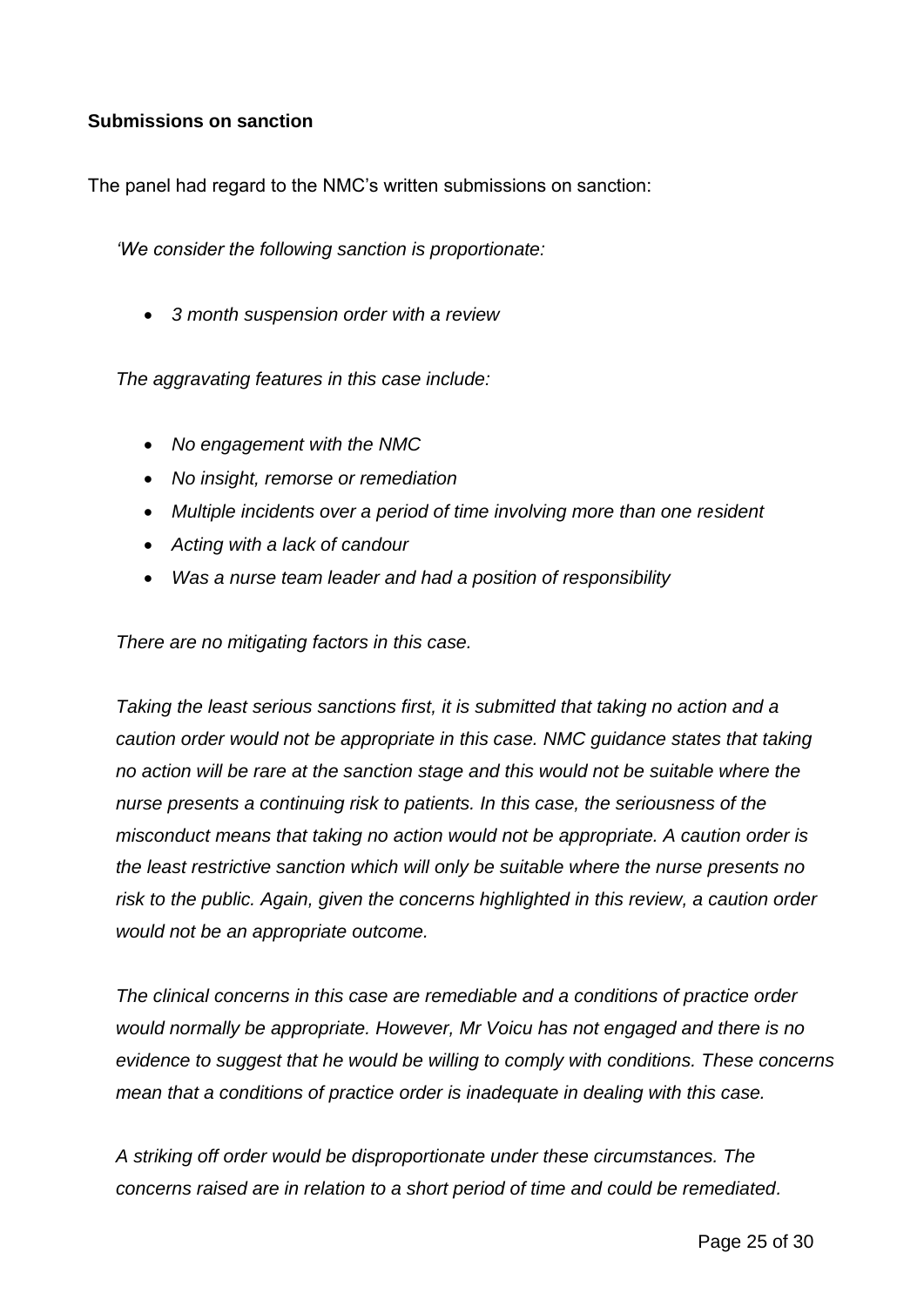#### **Submissions on sanction**

The panel had regard to the NMC's written submissions on sanction:

*'We consider the following sanction is proportionate:*

*3 month suspension order with a review*

*The aggravating features in this case include:*

- *No engagement with the NMC*
- *No insight, remorse or remediation*
- *Multiple incidents over a period of time involving more than one resident*
- *Acting with a lack of candour*
- *Was a nurse team leader and had a position of responsibility*

*There are no mitigating factors in this case.*

*Taking the least serious sanctions first, it is submitted that taking no action and a caution order would not be appropriate in this case. NMC guidance states that taking no action will be rare at the sanction stage and this would not be suitable where the nurse presents a continuing risk to patients. In this case, the seriousness of the misconduct means that taking no action would not be appropriate. A caution order is the least restrictive sanction which will only be suitable where the nurse presents no risk to the public. Again, given the concerns highlighted in this review, a caution order would not be an appropriate outcome.*

*The clinical concerns in this case are remediable and a conditions of practice order would normally be appropriate. However, Mr Voicu has not engaged and there is no evidence to suggest that he would be willing to comply with conditions. These concerns mean that a conditions of practice order is inadequate in dealing with this case.*

*A striking off order would be disproportionate under these circumstances. The concerns raised are in relation to a short period of time and could be remediated.*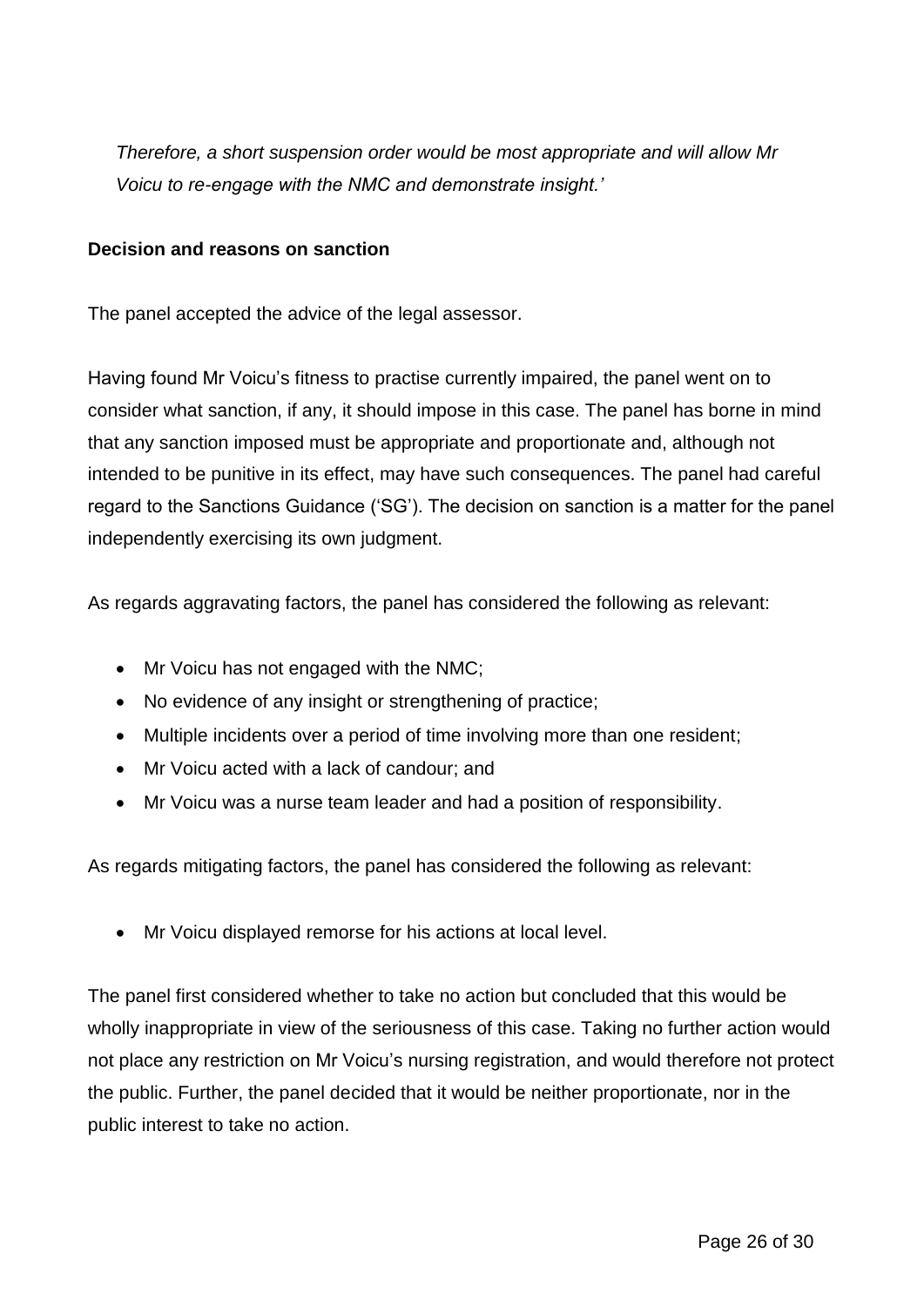*Therefore, a short suspension order would be most appropriate and will allow Mr Voicu to re-engage with the NMC and demonstrate insight.'*

#### **Decision and reasons on sanction**

The panel accepted the advice of the legal assessor.

Having found Mr Voicu's fitness to practise currently impaired, the panel went on to consider what sanction, if any, it should impose in this case. The panel has borne in mind that any sanction imposed must be appropriate and proportionate and, although not intended to be punitive in its effect, may have such consequences. The panel had careful regard to the Sanctions Guidance ('SG'). The decision on sanction is a matter for the panel independently exercising its own judgment.

As regards aggravating factors, the panel has considered the following as relevant:

- Mr Voicu has not engaged with the NMC;
- No evidence of any insight or strengthening of practice;
- Multiple incidents over a period of time involving more than one resident;
- Mr Voicu acted with a lack of candour; and
- Mr Voicu was a nurse team leader and had a position of responsibility.

As regards mitigating factors, the panel has considered the following as relevant:

Mr Voicu displayed remorse for his actions at local level.

The panel first considered whether to take no action but concluded that this would be wholly inappropriate in view of the seriousness of this case. Taking no further action would not place any restriction on Mr Voicu's nursing registration, and would therefore not protect the public. Further, the panel decided that it would be neither proportionate, nor in the public interest to take no action.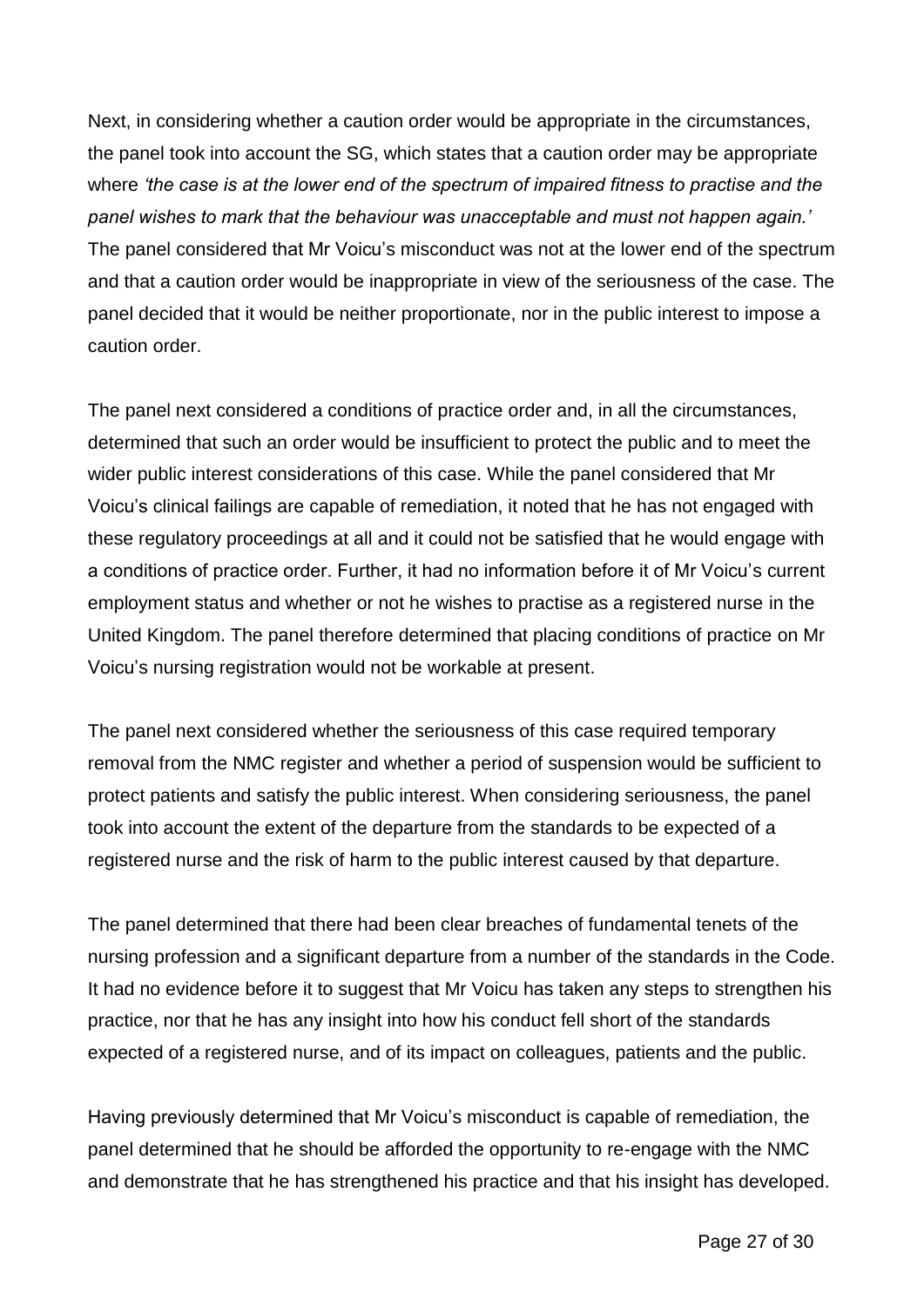Next, in considering whether a caution order would be appropriate in the circumstances, the panel took into account the SG, which states that a caution order may be appropriate where *'the case is at the lower end of the spectrum of impaired fitness to practise and the panel wishes to mark that the behaviour was unacceptable and must not happen again.'* The panel considered that Mr Voicu's misconduct was not at the lower end of the spectrum and that a caution order would be inappropriate in view of the seriousness of the case. The panel decided that it would be neither proportionate, nor in the public interest to impose a caution order.

The panel next considered a conditions of practice order and, in all the circumstances, determined that such an order would be insufficient to protect the public and to meet the wider public interest considerations of this case. While the panel considered that Mr Voicu's clinical failings are capable of remediation, it noted that he has not engaged with these regulatory proceedings at all and it could not be satisfied that he would engage with a conditions of practice order. Further, it had no information before it of Mr Voicu's current employment status and whether or not he wishes to practise as a registered nurse in the United Kingdom. The panel therefore determined that placing conditions of practice on Mr Voicu's nursing registration would not be workable at present.

The panel next considered whether the seriousness of this case required temporary removal from the NMC register and whether a period of suspension would be sufficient to protect patients and satisfy the public interest. When considering seriousness, the panel took into account the extent of the departure from the standards to be expected of a registered nurse and the risk of harm to the public interest caused by that departure.

The panel determined that there had been clear breaches of fundamental tenets of the nursing profession and a significant departure from a number of the standards in the Code. It had no evidence before it to suggest that Mr Voicu has taken any steps to strengthen his practice, nor that he has any insight into how his conduct fell short of the standards expected of a registered nurse, and of its impact on colleagues, patients and the public.

Having previously determined that Mr Voicu's misconduct is capable of remediation, the panel determined that he should be afforded the opportunity to re-engage with the NMC and demonstrate that he has strengthened his practice and that his insight has developed.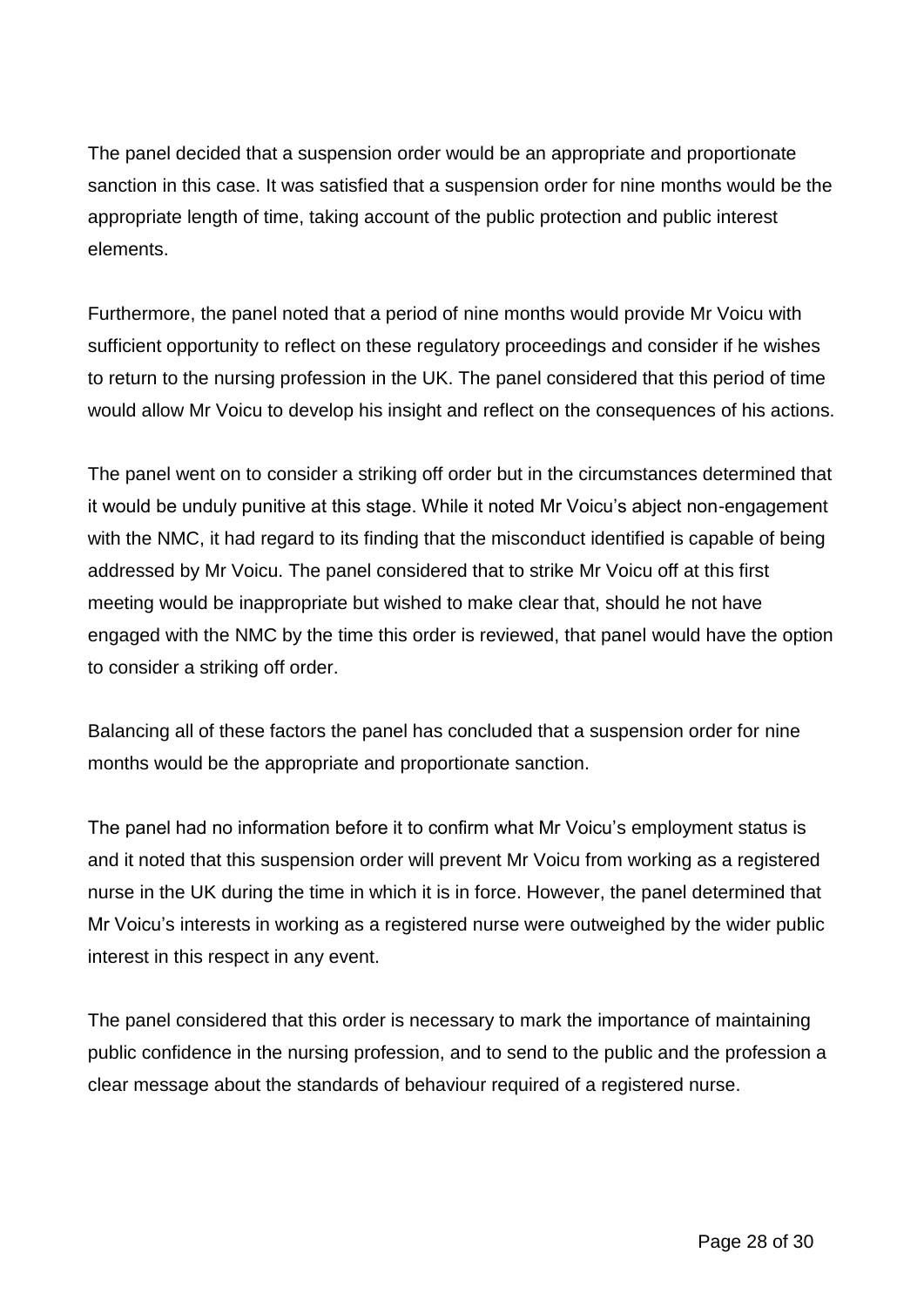The panel decided that a suspension order would be an appropriate and proportionate sanction in this case. It was satisfied that a suspension order for nine months would be the appropriate length of time, taking account of the public protection and public interest elements.

Furthermore, the panel noted that a period of nine months would provide Mr Voicu with sufficient opportunity to reflect on these regulatory proceedings and consider if he wishes to return to the nursing profession in the UK. The panel considered that this period of time would allow Mr Voicu to develop his insight and reflect on the consequences of his actions.

The panel went on to consider a striking off order but in the circumstances determined that it would be unduly punitive at this stage. While it noted Mr Voicu's abject non-engagement with the NMC, it had regard to its finding that the misconduct identified is capable of being addressed by Mr Voicu. The panel considered that to strike Mr Voicu off at this first meeting would be inappropriate but wished to make clear that, should he not have engaged with the NMC by the time this order is reviewed, that panel would have the option to consider a striking off order.

Balancing all of these factors the panel has concluded that a suspension order for nine months would be the appropriate and proportionate sanction.

The panel had no information before it to confirm what Mr Voicu's employment status is and it noted that this suspension order will prevent Mr Voicu from working as a registered nurse in the UK during the time in which it is in force. However, the panel determined that Mr Voicu's interests in working as a registered nurse were outweighed by the wider public interest in this respect in any event.

The panel considered that this order is necessary to mark the importance of maintaining public confidence in the nursing profession, and to send to the public and the profession a clear message about the standards of behaviour required of a registered nurse.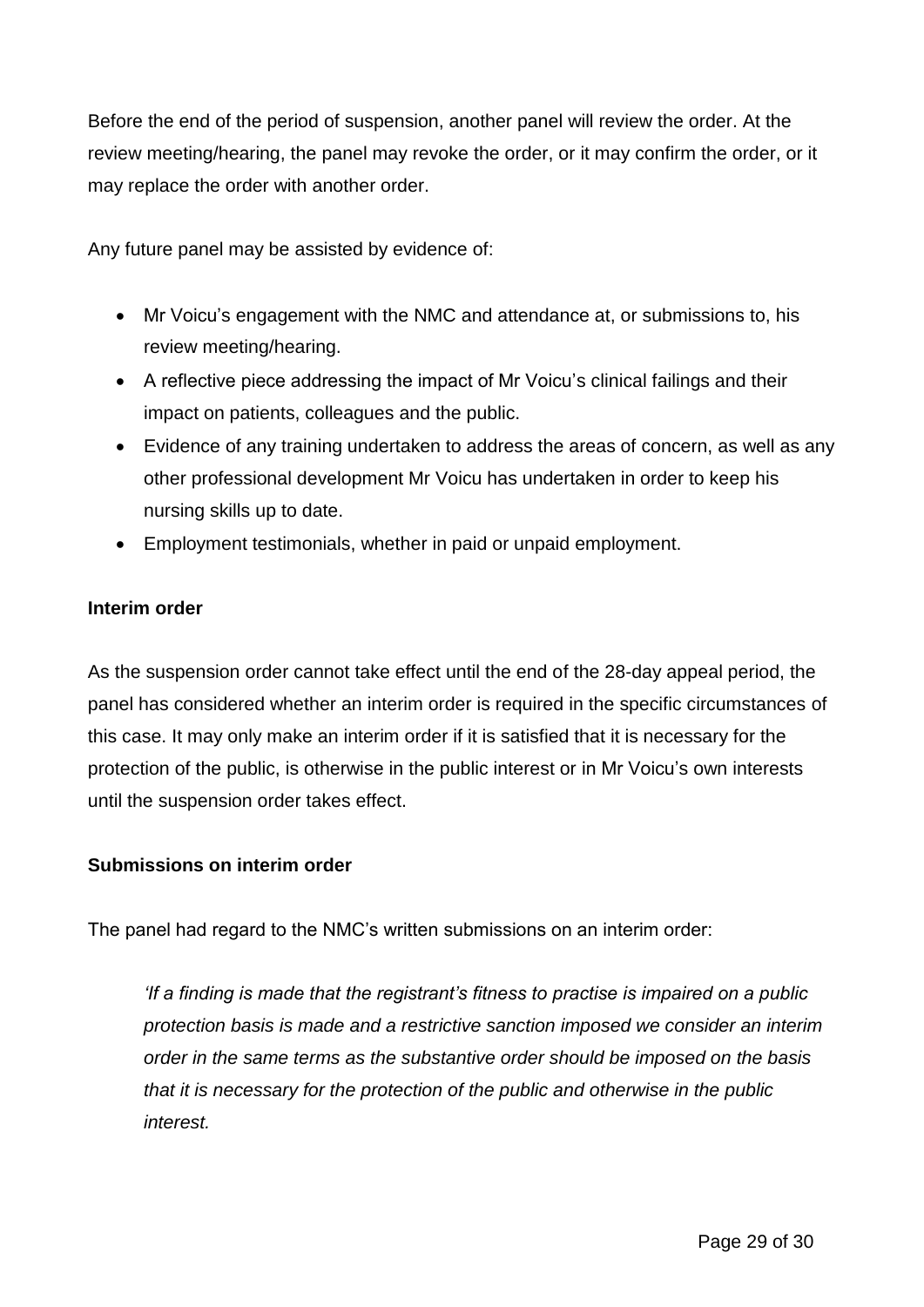Before the end of the period of suspension, another panel will review the order. At the review meeting/hearing, the panel may revoke the order, or it may confirm the order, or it may replace the order with another order.

Any future panel may be assisted by evidence of:

- Mr Voicu's engagement with the NMC and attendance at, or submissions to, his review meeting/hearing.
- A reflective piece addressing the impact of Mr Voicu's clinical failings and their impact on patients, colleagues and the public.
- Evidence of any training undertaken to address the areas of concern, as well as any other professional development Mr Voicu has undertaken in order to keep his nursing skills up to date.
- Employment testimonials, whether in paid or unpaid employment.

#### **Interim order**

As the suspension order cannot take effect until the end of the 28-day appeal period, the panel has considered whether an interim order is required in the specific circumstances of this case. It may only make an interim order if it is satisfied that it is necessary for the protection of the public, is otherwise in the public interest or in Mr Voicu's own interests until the suspension order takes effect.

#### **Submissions on interim order**

The panel had regard to the NMC's written submissions on an interim order:

*'If a finding is made that the registrant's fitness to practise is impaired on a public protection basis is made and a restrictive sanction imposed we consider an interim order in the same terms as the substantive order should be imposed on the basis that it is necessary for the protection of the public and otherwise in the public interest.*